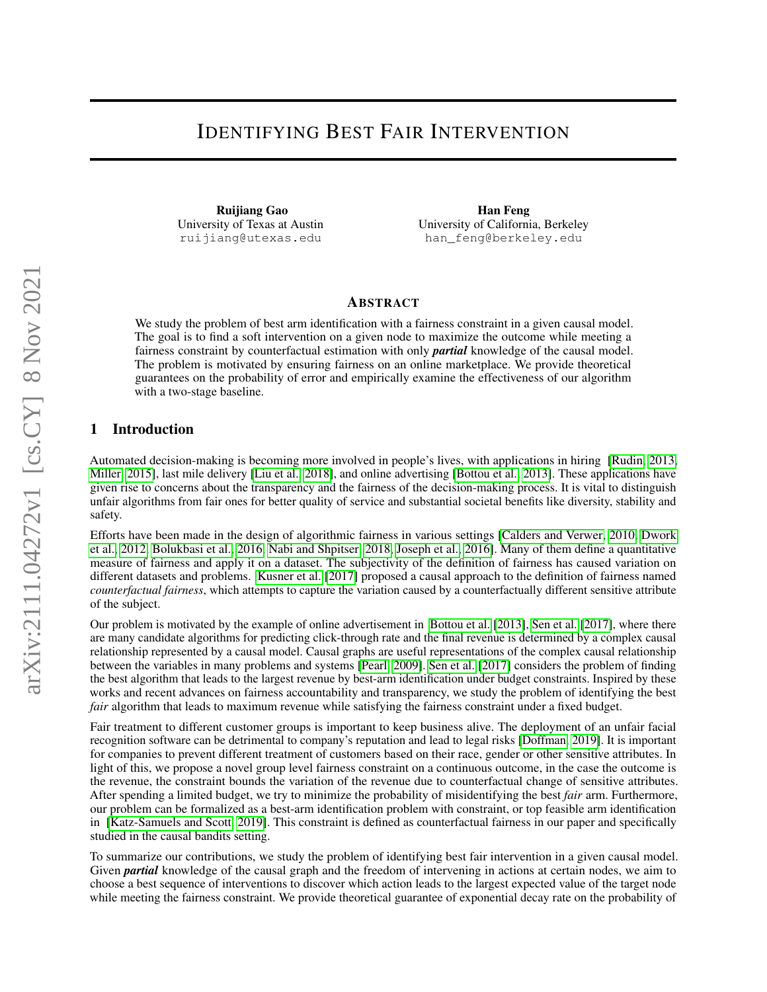# IDENTIFYING BEST FAIR INTERVENTION

Ruijiang Gao University of Texas at Austin ruijiang@utexas.edu

Han Feng University of California, Berkeley han\_feng@berkeley.edu

## ABSTRACT

We study the problem of best arm identification with a fairness constraint in a given causal model. The goal is to find a soft intervention on a given node to maximize the outcome while meeting a fairness constraint by counterfactual estimation with only *partial* knowledge of the causal model. The problem is motivated by ensuring fairness on an online marketplace. We provide theoretical guarantees on the probability of error and empirically examine the effectiveness of our algorithm with a two-stage baseline.

## 1 Introduction

Automated decision-making is becoming more involved in people's lives, with applications in hiring [\[Rudin, 2013,](#page-10-0) [Miller, 2015\]](#page-9-0), last mile delivery [\[Liu et al., 2018\]](#page-9-1), and online advertising [\[Bottou et al., 2013\]](#page-9-2). These applications have given rise to concerns about the transparency and the fairness of the decision-making process. It is vital to distinguish unfair algorithms from fair ones for better quality of service and substantial societal benefits like diversity, stability and safety.

Efforts have been made in the design of algorithmic fairness in various settings [\[Calders and Verwer, 2010,](#page-9-3) [Dwork](#page-9-4) [et al., 2012,](#page-9-4) [Bolukbasi et al., 2016,](#page-9-5) [Nabi and Shpitser, 2018,](#page-9-6) [Joseph et al., 2016\]](#page-9-7). Many of them define a quantitative measure of fairness and apply it on a dataset. The subjectivity of the definition of fairness has caused variation on different datasets and problems. [Kusner et al.](#page-9-8) [\[2017\]](#page-9-8) proposed a causal approach to the definition of fairness named *counterfactual fairness*, which attempts to capture the variation caused by a counterfactually different sensitive attribute of the subject.

Our problem is motivated by the example of online advertisement in [Bottou et al.](#page-9-2) [\[2013\]](#page-9-2), [Sen et al.](#page-10-1) [\[2017\]](#page-10-1), where there are many candidate algorithms for predicting click-through rate and the final revenue is determined by a complex causal relationship represented by a causal model. Causal graphs are useful representations of the complex causal relationship between the variables in many problems and systems [\[Pearl, 2009\]](#page-10-2). [Sen et al.](#page-10-1) [\[2017\]](#page-10-1) considers the problem of finding the best algorithm that leads to the largest revenue by best-arm identification under budget constraints. Inspired by these works and recent advances on fairness accountability and transparency, we study the problem of identifying the best *fair* algorithm that leads to maximum revenue while satisfying the fairness constraint under a fixed budget.

Fair treatment to different customer groups is important to keep business alive. The deployment of an unfair facial recognition software can be detrimental to company's reputation and lead to legal risks [\[Doffman, 2019\]](#page-9-9). It is important for companies to prevent different treatment of customers based on their race, gender or other sensitive attributes. In light of this, we propose a novel group level fairness constraint on a continuous outcome, in the case the outcome is the revenue, the constraint bounds the variation of the revenue due to counterfactual change of sensitive attributes. After spending a limited budget, we try to minimize the probability of misidentifying the best *fair* arm. Furthermore, our problem can be formalized as a best-arm identification problem with constraint, or top feasible arm identification in [\[Katz-Samuels and Scott, 2019\]](#page-9-10). This constraint is defined as counterfactual fairness in our paper and specifically studied in the causal bandits setting.

To summarize our contributions, we study the problem of identifying best fair intervention in a given causal model. Given *partial* knowledge of the causal graph and the freedom of intervening in actions at certain nodes, we aim to choose a best sequence of interventions to discover which action leads to the largest expected value of the target node while meeting the fairness constraint. We provide theoretical guarantee of exponential decay rate on the probability of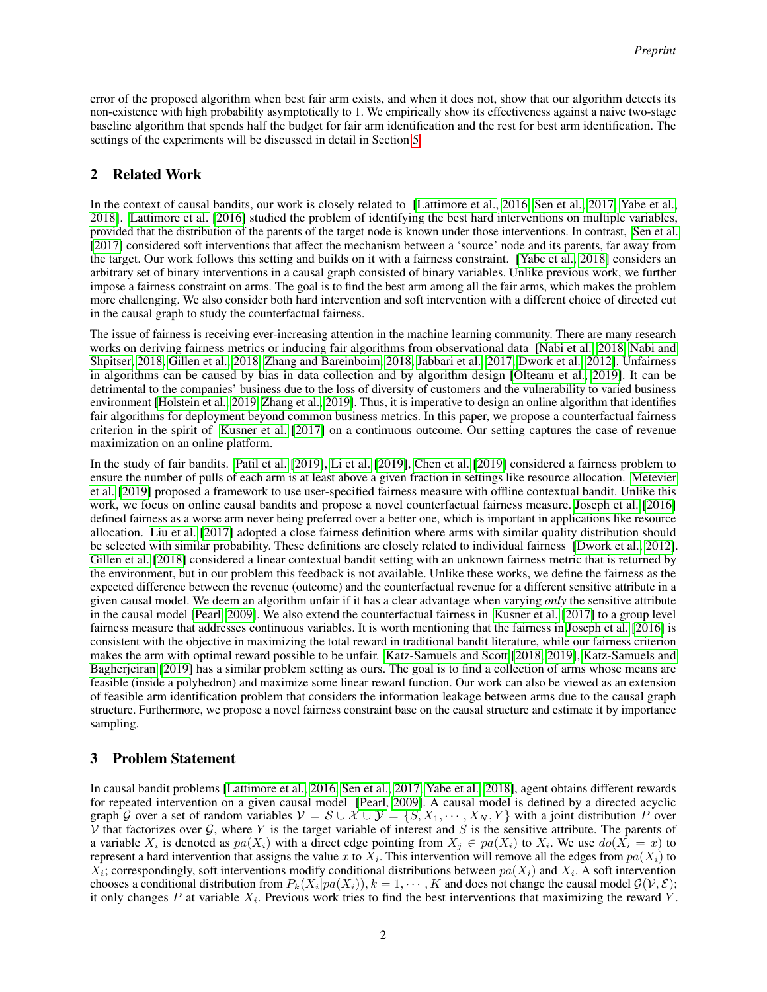error of the proposed algorithm when best fair arm exists, and when it does not, show that our algorithm detects its non-existence with high probability asymptotically to 1. We empirically show its effectiveness against a naive two-stage baseline algorithm that spends half the budget for fair arm identification and the rest for best arm identification. The settings of the experiments will be discussed in detail in Section [5.](#page-6-0)

# 2 Related Work

In the context of causal bandits, our work is closely related to [\[Lattimore et al., 2016,](#page-9-11) [Sen et al., 2017,](#page-10-1) [Yabe et al.,](#page-10-3) [2018\]](#page-10-3). [Lattimore et al.](#page-9-11) [\[2016\]](#page-9-11) studied the problem of identifying the best hard interventions on multiple variables, provided that the distribution of the parents of the target node is known under those interventions. In contrast, [Sen et al.](#page-10-1) [\[2017\]](#page-10-1) considered soft interventions that affect the mechanism between a 'source' node and its parents, far away from the target. Our work follows this setting and builds on it with a fairness constraint. [\[Yabe et al., 2018\]](#page-10-3) considers an arbitrary set of binary interventions in a causal graph consisted of binary variables. Unlike previous work, we further impose a fairness constraint on arms. The goal is to find the best arm among all the fair arms, which makes the problem more challenging. We also consider both hard intervention and soft intervention with a different choice of directed cut in the causal graph to study the counterfactual fairness.

The issue of fairness is receiving ever-increasing attention in the machine learning community. There are many research works on deriving fairness metrics or inducing fair algorithms from observational data [\[Nabi et al., 2018,](#page-9-12) [Nabi and](#page-9-6) [Shpitser, 2018,](#page-9-6) [Gillen et al., 2018,](#page-9-13) [Zhang and Bareinboim, 2018,](#page-10-4) [Jabbari et al., 2017,](#page-9-14) [Dwork et al., 2012\]](#page-9-4). Unfairness in algorithms can be caused by bias in data collection and by algorithm design [\[Olteanu et al., 2019\]](#page-10-5). It can be detrimental to the companies' business due to the loss of diversity of customers and the vulnerability to varied business environment [\[Holstein et al., 2019,](#page-9-15) [Zhang et al., 2019\]](#page-10-6). Thus, it is imperative to design an online algorithm that identifies fair algorithms for deployment beyond common business metrics. In this paper, we propose a counterfactual fairness criterion in the spirit of [Kusner et al.](#page-9-8) [\[2017\]](#page-9-8) on a continuous outcome. Our setting captures the case of revenue maximization on an online platform.

In the study of fair bandits. [Patil et al.](#page-10-7) [\[2019\]](#page-10-7), [Li et al.](#page-9-16) [\[2019\]](#page-9-16), [Chen et al.](#page-9-17) [\[2019\]](#page-9-17) considered a fairness problem to ensure the number of pulls of each arm is at least above a given fraction in settings like resource allocation. [Metevier](#page-9-18) [et al.](#page-9-18) [\[2019\]](#page-9-18) proposed a framework to use user-specified fairness measure with offline contextual bandit. Unlike this work, we focus on online causal bandits and propose a novel counterfactual fairness measure. [Joseph et al.](#page-9-7) [\[2016\]](#page-9-7) defined fairness as a worse arm never being preferred over a better one, which is important in applications like resource allocation. [Liu et al.](#page-9-19) [\[2017\]](#page-9-19) adopted a close fairness definition where arms with similar quality distribution should be selected with similar probability. These definitions are closely related to individual fairness [\[Dwork et al., 2012\]](#page-9-4). [Gillen et al.](#page-9-13) [\[2018\]](#page-9-13) considered a linear contextual bandit setting with an unknown fairness metric that is returned by the environment, but in our problem this feedback is not available. Unlike these works, we define the fairness as the expected difference between the revenue (outcome) and the counterfactual revenue for a different sensitive attribute in a given causal model. We deem an algorithm unfair if it has a clear advantage when varying *only* the sensitive attribute in the causal model [\[Pearl, 2009\]](#page-10-2). We also extend the counterfactual fairness in [Kusner et al.](#page-9-8) [\[2017\]](#page-9-8) to a group level fairness measure that addresses continuous variables. It is worth mentioning that the fairness in [Joseph et al.](#page-9-7) [\[2016\]](#page-9-7) is consistent with the objective in maximizing the total reward in traditional bandit literature, while our fairness criterion makes the arm with optimal reward possible to be unfair. [Katz-Samuels and Scott](#page-9-20) [\[2018,](#page-9-20) [2019\]](#page-9-10), [Katz-Samuels and](#page-9-21) [Bagherjeiran](#page-9-21) [\[2019\]](#page-9-21) has a similar problem setting as ours. The goal is to find a collection of arms whose means are feasible (inside a polyhedron) and maximize some linear reward function. Our work can also be viewed as an extension of feasible arm identification problem that considers the information leakage between arms due to the causal graph structure. Furthermore, we propose a novel fairness constraint base on the causal structure and estimate it by importance sampling.

# 3 Problem Statement

In causal bandit problems [\[Lattimore et al., 2016,](#page-9-11) [Sen et al., 2017,](#page-10-1) [Yabe et al., 2018\]](#page-10-3), agent obtains different rewards for repeated intervention on a given causal model [\[Pearl, 2009\]](#page-10-2). A causal model is defined by a directed acyclic graph G over a set of random variables  $V = S \cup \mathcal{X} \cup \mathcal{Y} = \{S, X_1, \dots, X_N, Y\}$  with a joint distribution P over V that factorizes over  $\mathcal G$ , where Y is the target variable of interest and S is the sensitive attribute. The parents of a variable  $X_i$  is denoted as  $pa(X_i)$  with a direct edge pointing from  $X_j \in pa(X_i)$  to  $X_i$ . We use  $do(X_i = x)$  to represent a hard intervention that assigns the value x to  $X_i$ . This intervention will remove all the edges from  $pa(X_i)$  to  $X_i$ ; correspondingly, soft interventions modify conditional distributions between  $pa(X_i)$  and  $X_i$ . A soft intervention chooses a conditional distribution from  $P_k(X_i|pa(X_i)), k = 1, \cdots, K$  and does not change the causal model  $\mathcal{G}(\mathcal{V}, \mathcal{E});$ it only changes P at variable  $X_i$ . Previous work tries to find the best interventions that maximizing the reward Y.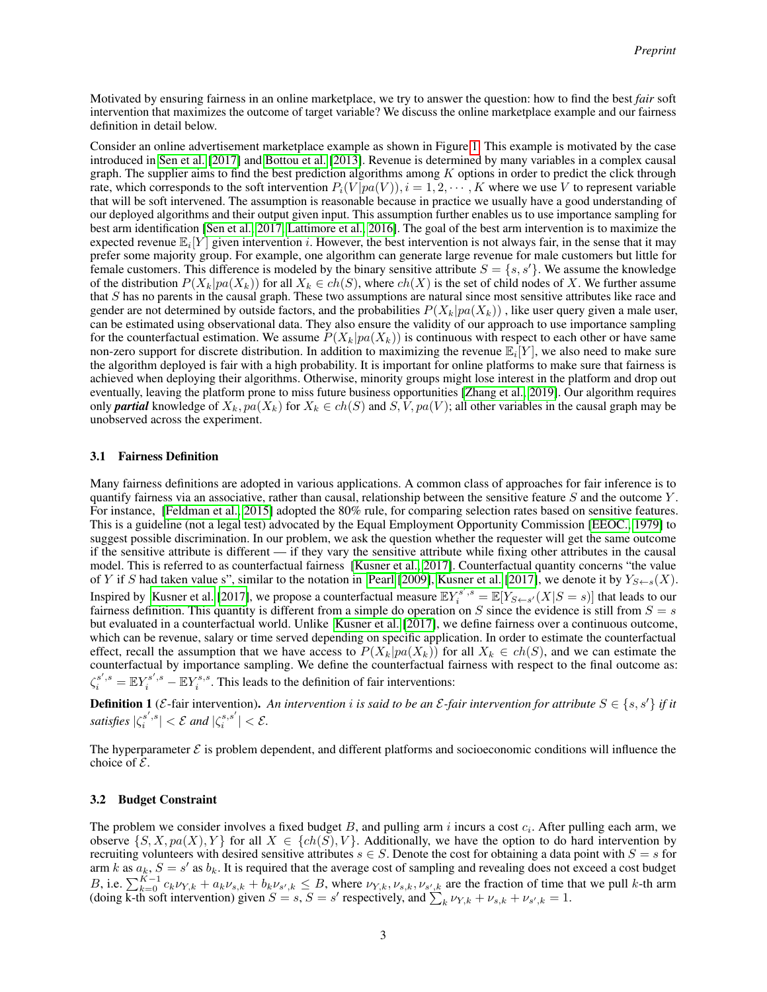Motivated by ensuring fairness in an online marketplace, we try to answer the question: how to find the best *fair* soft intervention that maximizes the outcome of target variable? We discuss the online marketplace example and our fairness definition in detail below.

Consider an online advertisement marketplace example as shown in Figure [1.](#page-3-0) This example is motivated by the case introduced in [Sen et al.](#page-10-1) [\[2017\]](#page-10-1) and [Bottou et al.](#page-9-2) [\[2013\]](#page-9-2). Revenue is determined by many variables in a complex causal graph. The supplier aims to find the best prediction algorithms among  $K$  options in order to predict the click through rate, which corresponds to the soft intervention  $P_i(V|pa(V))$ ,  $i = 1, 2, \dots, K$  where we use V to represent variable that will be soft intervened. The assumption is reasonable because in practice we usually have a good understanding of our deployed algorithms and their output given input. This assumption further enables us to use importance sampling for best arm identification [\[Sen et al., 2017,](#page-10-1) [Lattimore et al., 2016\]](#page-9-11). The goal of the best arm intervention is to maximize the expected revenue  $\mathbb{E}_i[Y]$  given intervention i. However, the best intervention is not always fair, in the sense that it may prefer some majority group. For example, one algorithm can generate large revenue for male customers but little for female customers. This difference is modeled by the binary sensitive attribute  $S = \{s, s'\}$ . We assume the knowledge of the distribution  $P(X_k|pa(X_k))$  for all  $X_k \in ch(S)$ , where  $ch(X)$  is the set of child nodes of X. We further assume that S has no parents in the causal graph. These two assumptions are natural since most sensitive attributes like race and gender are not determined by outside factors, and the probabilities  $P(X_k|pa(X_k))$ , like user query given a male user, can be estimated using observational data. They also ensure the validity of our approach to use importance sampling for the counterfactual estimation. We assume  $P(X_k|pa(X_k))$  is continuous with respect to each other or have same non-zero support for discrete distribution. In addition to maximizing the revenue  $\mathbb{E}_i[Y]$ , we also need to make sure the algorithm deployed is fair with a high probability. It is important for online platforms to make sure that fairness is achieved when deploying their algorithms. Otherwise, minority groups might lose interest in the platform and drop out eventually, leaving the platform prone to miss future business opportunities [\[Zhang et al., 2019\]](#page-10-6). Our algorithm requires only **partial** knowledge of  $X_k$ ,  $pa(X_k)$  for  $X_k \in ch(S)$  and  $S, V, pa(V)$ ; all other variables in the causal graph may be unobserved across the experiment.

#### 3.1 Fairness Definition

Many fairness definitions are adopted in various applications. A common class of approaches for fair inference is to quantify fairness via an associative, rather than causal, relationship between the sensitive feature S and the outcome Y . For instance, [\[Feldman et al., 2015\]](#page-9-22) adopted the 80% rule, for comparing selection rates based on sensitive features. This is a guideline (not a legal test) advocated by the Equal Employment Opportunity Commission [\[EEOC., 1979\]](#page-9-23) to suggest possible discrimination. In our problem, we ask the question whether the requester will get the same outcome if the sensitive attribute is different — if they vary the sensitive attribute while fixing other attributes in the causal model. This is referred to as counterfactual fairness [\[Kusner et al., 2017\]](#page-9-8). Counterfactual quantity concerns "the value of Y if S had taken value s", similar to the notation in [Pearl](#page-10-2) [\[2009\]](#page-10-2), [Kusner et al.](#page-9-8) [\[2017\]](#page-9-8), we denote it by  $Y_{S\leftarrow s}(X)$ . Inspired by [Kusner et al.](#page-9-8) [\[2017\]](#page-9-8), we propose a counterfactual measure  $\mathbb{E}Y_i^{s',s} = \mathbb{E}[Y_{S\leftarrow s'}(X|S=s)]$  that leads to our fairness definition. This quantity is different from a simple do operation on S since the evidence is still from  $S = s$ but evaluated in a counterfactual world. Unlike [Kusner et al.](#page-9-8) [\[2017\]](#page-9-8), we define fairness over a continuous outcome, which can be revenue, salary or time served depending on specific application. In order to estimate the counterfactual effect, recall the assumption that we have access to  $P(X_k|pa(X_k))$  for all  $X_k \in ch(S)$ , and we can estimate the counterfactual by importance sampling. We define the counterfactual fairness with respect to the final outcome as:  $\zeta_i^{s',s} = \mathbb{E}Y_i^{s',s} - \mathbb{E}Y_i^{s,s}$ . This leads to the definition of fair interventions:

**Definition 1** (*E*-fair intervention). An intervention *i* is said to be an *E*-fair intervention for attribute  $S \in \{s, s'\}$  if it *satisfies*  $|\zeta_i^{s',s}| < \mathcal{E}$  and  $|\zeta_i^{s,s'}| < \mathcal{E}$ .

The hyperparameter  $\mathcal E$  is problem dependent, and different platforms and socioeconomic conditions will influence the choice of  $\mathcal{E}$ .

#### 3.2 Budget Constraint

The problem we consider involves a fixed budget B, and pulling arm  $i$  incurs a cost  $c_i$ . After pulling each arm, we observe  $\{S, X, pa(X), Y\}$  for all  $X \in \{ch(S), V\}$ . Additionally, we have the option to do hard intervention by recruiting volunteers with desired sensitive attributes  $s \in S$ . Denote the cost for obtaining a data point with  $S = s$  for arm k as  $a_k$ ,  $S = s'$  as  $b_k$ . It is required that the average cost of sampling and revealing does not exceed a cost budget B, i.e.  $\sum_{k=0}^{K-1} c_k \nu_{Y,k} + a_k \nu_{s,k} + b_k \nu_{s',k} \leq B$ , where  $\nu_{Y,k}, \nu_{s,k}, \nu_{s',k}$  are the fraction of time that we pull k-th arm (doing k-th soft intervention) given  $S = s$ ,  $S = s'$  respectively, and  $\sum_{k} \nu_{Y,k} + \nu_{s,k} + \nu_{s',k} = 1$ .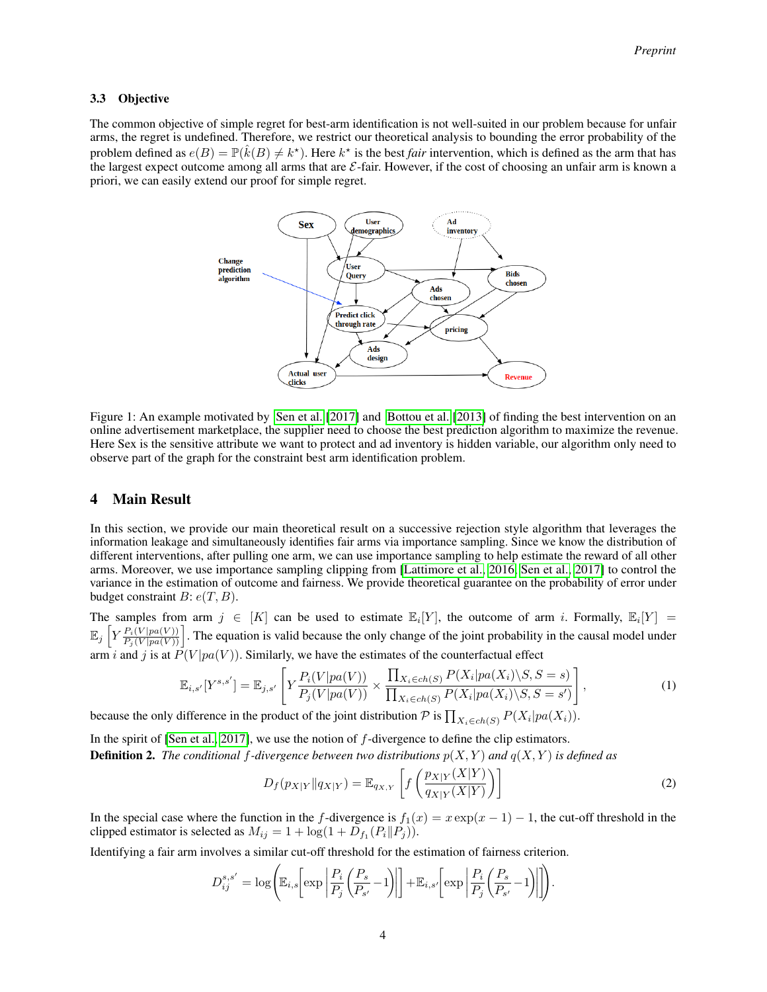### 3.3 Objective

<span id="page-3-0"></span>The common objective of simple regret for best-arm identification is not well-suited in our problem because for unfair arms, the regret is undefined. Therefore, we restrict our theoretical analysis to bounding the error probability of the problem defined as  $e(B) = \mathbb{P}(\hat{k}(B) \neq k^*)$ . Here  $k^*$  is the best *fair* intervention, which is defined as the arm that has the largest expect outcome among all arms that are  $\mathcal{E}\text{-fair}$ . However, if the cost of choosing an unfair arm is known a priori, we can easily extend our proof for simple regret.



Figure 1: An example motivated by [Sen et al.](#page-10-1) [\[2017\]](#page-10-1) and [Bottou et al.](#page-9-2) [\[2013\]](#page-9-2) of finding the best intervention on an online advertisement marketplace, the supplier need to choose the best prediction algorithm to maximize the revenue. Here Sex is the sensitive attribute we want to protect and ad inventory is hidden variable, our algorithm only need to observe part of the graph for the constraint best arm identification problem.

## 4 Main Result

In this section, we provide our main theoretical result on a successive rejection style algorithm that leverages the information leakage and simultaneously identifies fair arms via importance sampling. Since we know the distribution of different interventions, after pulling one arm, we can use importance sampling to help estimate the reward of all other arms. Moreover, we use importance sampling clipping from [\[Lattimore et al., 2016,](#page-9-11) [Sen et al., 2017\]](#page-10-1) to control the variance in the estimation of outcome and fairness. We provide theoretical guarantee on the probability of error under budget constraint  $B: e(T, B)$ .

The samples from arm  $j \in [K]$  can be used to estimate  $\mathbb{E}_i[Y]$ , the outcome of arm i. Formally,  $\mathbb{E}_i[Y] =$  $\mathbb{E}_j \left[ Y \frac{P_i(V|pa(V))}{P_j(V|pa(V))} \right]$ . The equation is valid because the only change of the joint probability in the causal model under arm i and j is at  $\overline{P}(V|pa(V))$ . Similarly, we have the estimates of the counterfactual effect

$$
\mathbb{E}_{i,s'}[Y^{s,s'}] = \mathbb{E}_{j,s'}\left[Y\frac{P_i(V|pa(V))}{P_j(V|pa(V))} \times \frac{\prod_{X_i \in ch(S)} P(X_i|pa(X_i)\backslash S, S=s)}{\prod_{X_i \in ch(S)} P(X_i|pa(X_i)\backslash S, S=s')}\right],\tag{1}
$$

because the only difference in the product of the joint distribution  $P$  is  $\prod_{X_i \in ch(S)} P(X_i | pa(X_i))$ .

In the spirit of [\[Sen et al., 2017\]](#page-10-1), we use the notion of f-divergence to define the clip estimators. **Definition 2.** The conditional f-divergence between two distributions  $p(X, Y)$  and  $q(X, Y)$  is defined as

$$
D_f(p_{X|Y}||q_{X|Y}) = \mathbb{E}_{q_{X,Y}}\left[f\left(\frac{p_{X|Y}(X|Y)}{q_{X|Y}(X|Y)}\right)\right]
$$
\n(2)

In the special case where the function in the f-divergence is  $f_1(x) = x \exp(x - 1) - 1$ , the cut-off threshold in the clipped estimator is selected as  $M_{ij} = 1 + \log(1 + D_{f_1}(P_i||P_j)).$ 

Identifying a fair arm involves a similar cut-off threshold for the estimation of fairness criterion.

$$
D_{ij}^{s,s'} = \log \left( \mathbb{E}_{i,s} \left[ \exp \left| \frac{P_i}{P_j} \left( \frac{P_s}{P_{s'}} - 1 \right) \right| \right] + \mathbb{E}_{i,s'} \left[ \exp \left| \frac{P_i}{P_j} \left( \frac{P_s}{P_{s'}} - 1 \right) \right| \right] \right).
$$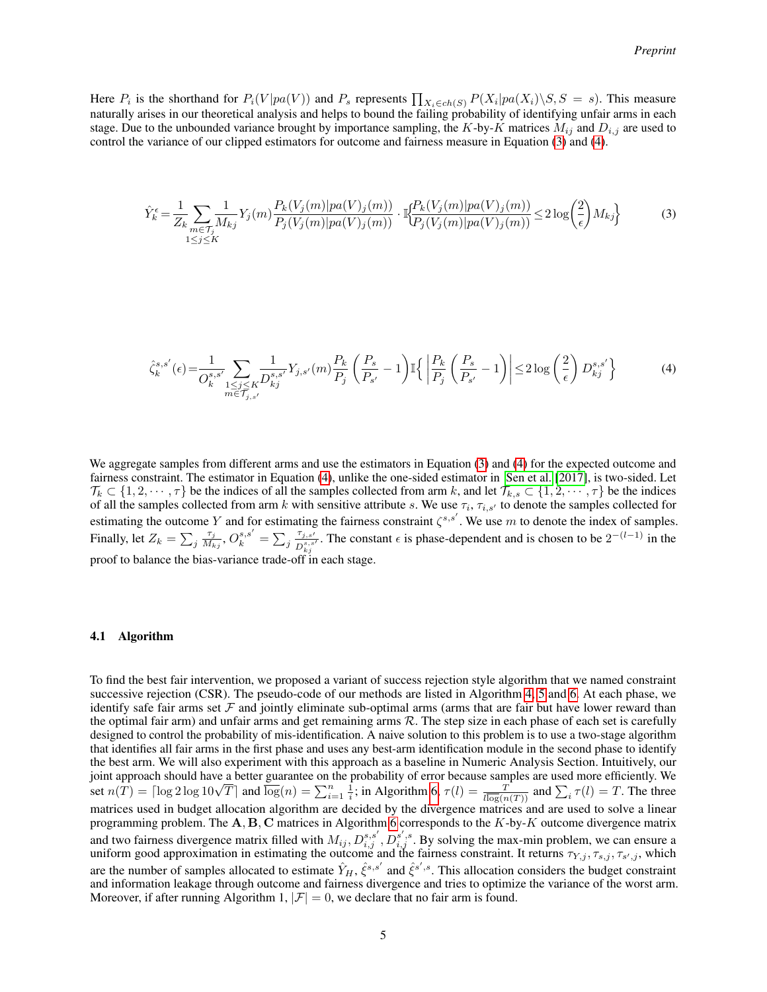Here  $P_i$  is the shorthand for  $P_i(V|pa(V))$  and  $P_s$  represents  $\prod_{X_i \in ch(S)} P(X_i|pa(X_i) \setminus S, S = s)$ . This measure naturally arises in our theoretical analysis and helps to bound the failing probability of identifying unfair arms in each stage. Due to the unbounded variance brought by importance sampling, the K-by-K matrices  $M_{ij}$  and  $D_{i,j}$  are used to control the variance of our clipped estimators for outcome and fairness measure in Equation [\(3\)](#page-4-0) and [\(4\)](#page-4-1).

<span id="page-4-0"></span>
$$
\hat{Y}_{k}^{\epsilon} = \frac{1}{Z_{k}} \sum_{\substack{m \in \mathcal{T}_{j} \\ 1 \leq j \leq K}} \frac{1}{M_{kj}} Y_{j}(m) \frac{P_{k}(V_{j}(m)|pa(V)_{j}(m))}{P_{j}(V_{j}(m)|pa(V)_{j}(m))} \cdot \mathbb{I}_{\overline{P_{j}(V_{j}(m)|pa(V)_{j}(m))}}^{\overline{P_{k}(V_{j}(m)|pa(V)_{j}(m))}} \leq 2 \log \left(\frac{2}{\epsilon}\right) M_{kj} \tag{3}
$$

<span id="page-4-1"></span>
$$
\hat{\zeta}_{k}^{s,s'}(\epsilon) = \frac{1}{O_{k}^{s,s'}} \sum_{\substack{1 \le j \le K \\ m \in \mathcal{T}_{j,s'}}} \frac{1}{D_{kj}^{s,s'}} Y_{j,s'}(m) \frac{P_k}{P_j} \left(\frac{P_s}{P_{s'}} - 1\right) \mathbb{I} \left\{ \left| \frac{P_k}{P_j} \left(\frac{P_s}{P_{s'}} - 1\right) \right| \le 2 \log \left(\frac{2}{\epsilon}\right) D_{kj}^{s,s'} \right\} \tag{4}
$$

We aggregate samples from different arms and use the estimators in Equation [\(3\)](#page-4-0) and [\(4\)](#page-4-1) for the expected outcome and fairness constraint. The estimator in Equation [\(4\)](#page-4-1), unlike the one-sided estimator in [Sen et al.](#page-10-1) [\[2017\]](#page-10-1), is two-sided. Let  $\mathcal{T}_k \subset \{1, 2, \dots, \tau\}$  be the indices of all the samples collected from arm k, and let  $\mathcal{T}_{k,s} \subset \{1, 2, \dots, \tau\}$  be the indices of all the samples collected from arm k with sensitive attribute s. We use  $\tau_i$ ,  $\tau_{i,s'}$  to denote the samples collected for estimating the outcome Y and for estimating the fairness constraint  $\zeta^{s,s'}$ . We use m to denote the index of samples. Finally, let  $Z_k = \sum_j \frac{\tau_j}{M_k}$  $\frac{\tau_j}{M_{kj}}, O_k^{s,s'} = \sum_j \frac{\tau_{j,s'}}{D_s^{s,s}}$  $\frac{\tau_{j,s'}}{D_{kj}^{s,s'}}$ . The constant  $\epsilon$  is phase-dependent and is chosen to be  $2^{-(l-1)}$  in the proof to balance the bias-variance trade-off in each stage.

#### 4.1 Algorithm

To find the best fair intervention, we proposed a variant of success rejection style algorithm that we named constraint successive rejection (CSR). The pseudo-code of our methods are listed in Algorithm [4,](#page-18-0) [5](#page-18-1) and [6.](#page-18-2) At each phase, we identify safe fair arms set  $\mathcal F$  and jointly eliminate sub-optimal arms (arms that are fair but have lower reward than the optimal fair arm) and unfair arms and get remaining arms  $R$ . The step size in each phase of each set is carefully designed to control the probability of mis-identification. A naive solution to this problem is to use a two-stage algorithm that identifies all fair arms in the first phase and uses any best-arm identification module in the second phase to identify the best arm. We will also experiment with this approach as a baseline in Numeric Analysis Section. Intuitively, our joint approach should have a better guarantee on the probability of error because samples are used more efficiently. We set  $n(T) = \lceil \log 2 \log 10\sqrt{T} \rceil$  and  $\overline{\log}(n) = \sum_{i=1}^{n} \frac{1}{i}$ ; in Algorithm [6,](#page-18-2)  $\tau(l) = \frac{T}{l \log(n(T))}$  an matrices used in budget allocation algorithm are decided by the divergence matrices and are used to solve a linear programming problem. The  $A, B, C$  matrices in Algorithm [6](#page-18-2) corresponds to the K-by-K outcome divergence matrix and two fairness divergence matrix filled with  $M_{ij}, D_{i,j}^{s,s'}, D_{i,j}^{s',s}$ . By solving the max-min problem, we can ensure a uniform good approximation in estimating the outcome and the fairness constraint. It returns  $\tau_{Y,j}, \tau_{s,j}, \tau_{s',j}$ , which are the number of samples allocated to estimate  $\hat{Y}_H$ ,  $\hat{\xi}^{s,s'}$  and  $\hat{\xi}^{s',s}$ . This allocation considers the budget constraint and information leakage through outcome and fairness divergence and tries to optimize the variance of the worst arm. Moreover, if after running Algorithm 1,  $|\mathcal{F}| = 0$ , we declare that no fair arm is found.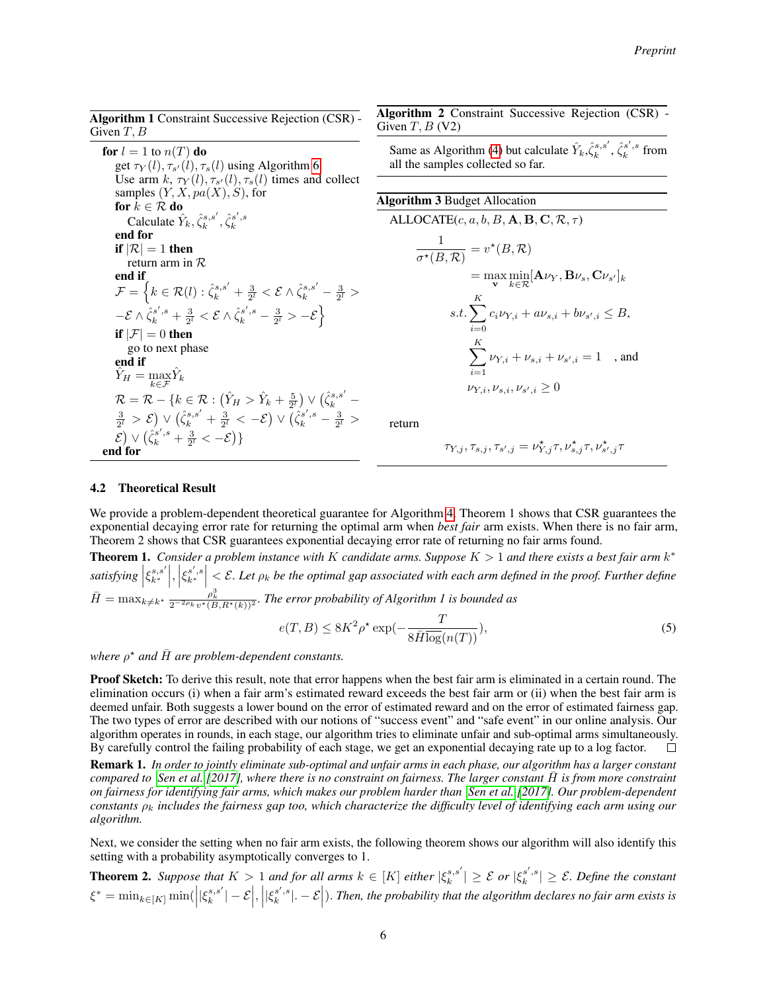| <b>Algorithm 1</b> Constraint Successive Rejection (CSR) - |  |  |
|------------------------------------------------------------|--|--|
| Given $T, B$                                               |  |  |

for  $l = 1$  to  $n(T)$  do get  $\tau_Y(l), \tau_{s'}(l), \tau_s(l)$  using Algorithm [6](#page-18-2) Use arm  $k$ ,  $\tau_Y(l)$ ,  $\tau_{s'}(l)$ ,  $\tau_s(l)$  times and collect samples  $(Y, X, pa(X), S)$ , for for  $k \in \mathcal{R}$  do Calculate  $\hat{Y}_k, \hat{\zeta}_k^{s,s'}, \hat{\zeta}_k^{s',s}$ end for if  $|\mathcal{R}| = 1$  then return arm in R end if  $\mathcal{F} = \left\{k \in \mathcal{R}(l): \hat{\zeta}_k^{s, s'} + \frac{3}{2^l} < \mathcal{E} \wedge \hat{\zeta}_k^{s, s'} - \frac{3}{2^l} > \right.$  $-\mathcal{E} \wedge \hat{\zeta}_k^{s',s} + \frac{3}{2^l} < \mathcal{E} \wedge \hat{\zeta}_k^{s',s} - \frac{3}{2^l} > -\mathcal{E} \Big\}$ if  $|\mathcal{F}| = 0$  then go to next phase end if  $\hat{Y}_H = \max_{k \in \mathcal{F}} \hat{Y}_k$  $\mathcal{R} = \mathcal{R} - \{k \in \mathcal{R} : (\hat{Y}_H > \hat{Y}_k + \frac{5}{2^l}) \vee (\hat{\zeta}_k^{s,s'} \frac{3}{2^l} > \mathcal{E} \big) \vee \big( \hat{\zeta}_k^{s,s'} + \frac{3}{2^l} < - \mathcal{E} \big) \vee \overline{\big( \hat{\zeta}_k^{s',s} - \frac{3}{2^l} > \big)}$  $\mathcal{E} \big( \sum_{k=1}^{\infty} \sqrt{\zeta_k^{s',s} + \frac{3}{2^l}} < - \mathcal{E} \big) \}$ end for

Algorithm 2 Constraint Successive Rejection (CSR) - Given  $T$ ,  $B$  (V2)

Same as Algorithm [\(4\)](#page-18-0) but calculate  $\hat{Y}_k, \hat{\zeta}_k^{s,s'}$ ,  $\hat{\zeta}_k^{s',s}$  from all the samples collected so far.

# Algorithm 3 Budget Allocation ALLOCATE $(c, a, b, B, A, B, C, R, \tau)$ 1  $\frac{1}{\sigma^\star(B,\mathcal{R})} = v^\star(B,\mathcal{R})$  $= \max_{\mathbf{v}} \min_{k \in \mathcal{R}} [\mathbf{A} \nu_Y, \mathbf{B} \nu_s, \mathbf{C} \nu_{s'}]_k$  $s.t.$   $\sum_{i=1}^{K}$  $i=0$  $c_i \nu_{Y,i} + a \nu_{s,i} + b \nu_{s',i} \leq B,$  $\sum_{k=1}^{K}$  $i=1$  $\nu_{Y,i} + \nu_{s,i} + \nu_{s',i} = 1$ , and  $\nu_{Y,i}, \nu_{s,i}, \nu_{s',i} \geq 0$

return

$$
\tau_{Y,j},\tau_{s,j},\tau_{s',j}=\nu_{Y,j}^\star\tau,\nu_{s,j}^\star\tau,\nu_{s',j}^\star\tau
$$

#### 4.2 Theoretical Result

We provide a problem-dependent theoretical guarantee for Algorithm [4.](#page-18-0) Theorem 1 shows that CSR guarantees the exponential decaying error rate for returning the optimal arm when *best fair* arm exists. When there is no fair arm, Theorem 2 shows that CSR guarantees exponential decaying error rate of returning no fair arms found.

**Theorem 1.** Consider a problem instance with K candidate arms. Suppose  $K > 1$  and there exists a best fair arm  $k^*$  $satisfying \left|\xi^{s,s'}_{k^*}\right|,\left|\xi^{s',s}_{k^*}\right|<\mathcal{E}$ . Let  $\rho_k$  be the optimal gap associated with each arm defined in the proof. Further define  $\bar{H}=\max_{k\neq k^{\star}}\frac{\rho_k^3}{2^{-2\rho_k}v^{\star}(B,R^{\star}(k))^2}$ . The error probability of Algorithm 1 is bounded as

$$
e(T, B) \le 8K^2 \rho^* \exp(-\frac{T}{8\bar{H}\overline{\log}(n(T))}),\tag{5}
$$

where  $\rho^*$  and  $\bar{H}$  are problem-dependent constants.

Proof Sketch: To derive this result, note that error happens when the best fair arm is eliminated in a certain round. The elimination occurs (i) when a fair arm's estimated reward exceeds the best fair arm or (ii) when the best fair arm is deemed unfair. Both suggests a lower bound on the error of estimated reward and on the error of estimated fairness gap. The two types of error are described with our notions of "success event" and "safe event" in our online analysis. Our algorithm operates in rounds, in each stage, our algorithm tries to eliminate unfair and sub-optimal arms simultaneously. By carefully control the failing probability of each stage, we get an exponential decaying rate up to a log factor.  $\Box$ 

Remark 1. *In order to jointly eliminate sub-optimal and unfair arms in each phase, our algorithm has a larger constant compared to* [Sen et al.](#page-10-1) [\[2017\]](#page-10-1), where there is no constraint on fairness. The larger constant H is from more constraint *on fairness for identifying fair arms, which makes our problem harder than [Sen et al.](#page-10-1) [\[2017\]](#page-10-1). Our problem-dependent constants*  $\rho_k$  *includes the fairness gap too, which characterize the difficulty level of identifying each arm using our algorithm.*

Next, we consider the setting when no fair arm exists, the following theorem shows our algorithm will also identify this setting with a probability asymptotically converges to 1.

**Theorem 2.** Suppose that  $K > 1$  and for all arms  $k \in [K]$  either  $|\xi_k^{s,s'}| \geq \mathcal{E}$  or  $|\xi_k^{s',s}| \geq \mathcal{E}$ . Define the constant  $\xi^* = \min_{k \in [K]} \min(\left||\xi^{s,s'}_k| - \mathcal{E}\right|, \left||\xi^{s',s}_k|. - \mathcal{E}\right|)$ . Then, the probability that the algorithm declares no fair arm exists is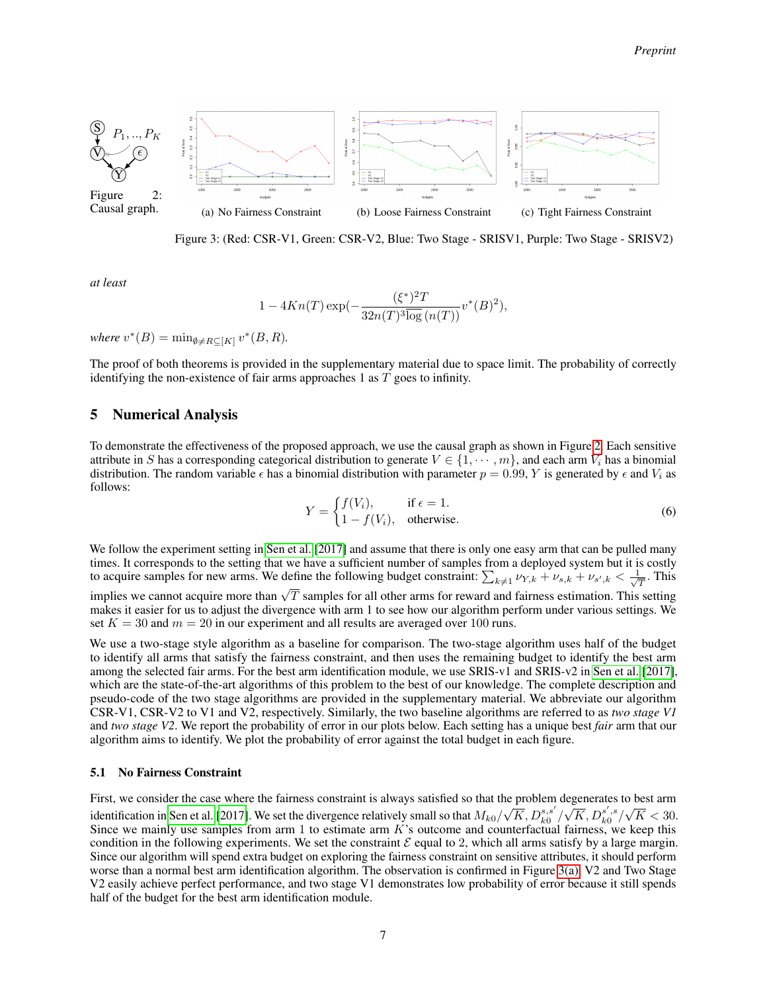<span id="page-6-2"></span><span id="page-6-1"></span>

Figure 3: (Red: CSR-V1, Green: CSR-V2, Blue: Two Stage - SRISV1, Purple: Two Stage - SRISV2)

*at least*

<span id="page-6-4"></span><span id="page-6-3"></span>
$$
1 - 4Kn(T) \exp(-\frac{(\xi^*)^2 T}{32n(T)^3 \log(n(T))} v^*(B)^2),
$$

where  $v^*(B) = \min_{\emptyset \neq R \subseteq [K]} v^*(B, R)$ .

The proof of both theorems is provided in the supplementary material due to space limit. The probability of correctly identifying the non-existence of fair arms approaches 1 as T goes to infinity.

## <span id="page-6-0"></span>5 Numerical Analysis

To demonstrate the effectiveness of the proposed approach, we use the causal graph as shown in Figure [2.](#page-6-1) Each sensitive attribute in S has a corresponding categorical distribution to generate  $V \in \{1, \dots, m\}$ , and each arm  $V_i$  has a binomial distribution. The random variable  $\epsilon$  has a binomial distribution with parameter  $p = 0.99$ , Y is generated by  $\epsilon$  and  $V_i$  as follows:

$$
Y = \begin{cases} f(V_i), & \text{if } \epsilon = 1. \\ 1 - f(V_i), & \text{otherwise.} \end{cases}
$$
 (6)

We follow the experiment setting in [Sen et al.](#page-10-1) [\[2017\]](#page-10-1) and assume that there is only one easy arm that can be pulled many times. It corresponds to the setting that we have a sufficient number of samples from a deployed system but it is costly to acquire samples for new arms. We define the following budget constraint:  $\sum_{k\neq 1} \nu_{Y,k} + \nu_{s,k} + \nu_{s',k} < \frac{1}{\sqrt{n}}$  $\frac{1}{T}$ . This is acquire samples for now annotation we cannot as formulas subger constraint  $\sum_{k\neq 1} r_{1,k} + s_{3,k} + s_{5,k} \leq \sqrt{T}$ . makes it easier for us to adjust the divergence with arm 1 to see how our algorithm perform under various settings. We

set  $K = 30$  and  $m = 20$  in our experiment and all results are averaged over 100 runs.

We use a two-stage style algorithm as a baseline for comparison. The two-stage algorithm uses half of the budget to identify all arms that satisfy the fairness constraint, and then uses the remaining budget to identify the best arm among the selected fair arms. For the best arm identification module, we use SRIS-v1 and SRIS-v2 in [Sen et al.](#page-10-1) [\[2017\]](#page-10-1), which are the state-of-the-art algorithms of this problem to the best of our knowledge. The complete description and pseudo-code of the two stage algorithms are provided in the supplementary material. We abbreviate our algorithm CSR-V1, CSR-V2 to V1 and V2, respectively. Similarly, the two baseline algorithms are referred to as *two stage V1* and *two stage V2*. We report the probability of error in our plots below. Each setting has a unique best *fair* arm that our algorithm aims to identify. We plot the probability of error against the total budget in each figure.

#### 5.1 No Fairness Constraint

First, we consider the case where the fairness constraint is always satisfied so that the problem degenerates to best arm identification in [Sen et al.](#page-10-1) [\[2017\]](#page-10-1). We set the divergence relatively small so that  $M_{k0}/\,$  $\sqrt{K}$ ,  $D_{k0}^{s,s'}$ regenerates to  $\sqrt{K}$ ,  $D_{k0}^{s',s}$  $^{\circ}$  $K < 30$ . Since we mainly use samples from arm 1 to estimate arm  $K$ 's outcome and counterfactual fairness, we keep this condition in the following experiments. We set the constraint  $\mathcal E$  equal to 2, which all arms satisfy by a large margin. Since our algorithm will spend extra budget on exploring the fairness constraint on sensitive attributes, it should perform worse than a normal best arm identification algorithm. The observation is confirmed in Figure [3\(a\).](#page-6-2) V2 and Two Stage V2 easily achieve perfect performance, and two stage V1 demonstrates low probability of error because it still spends half of the budget for the best arm identification module.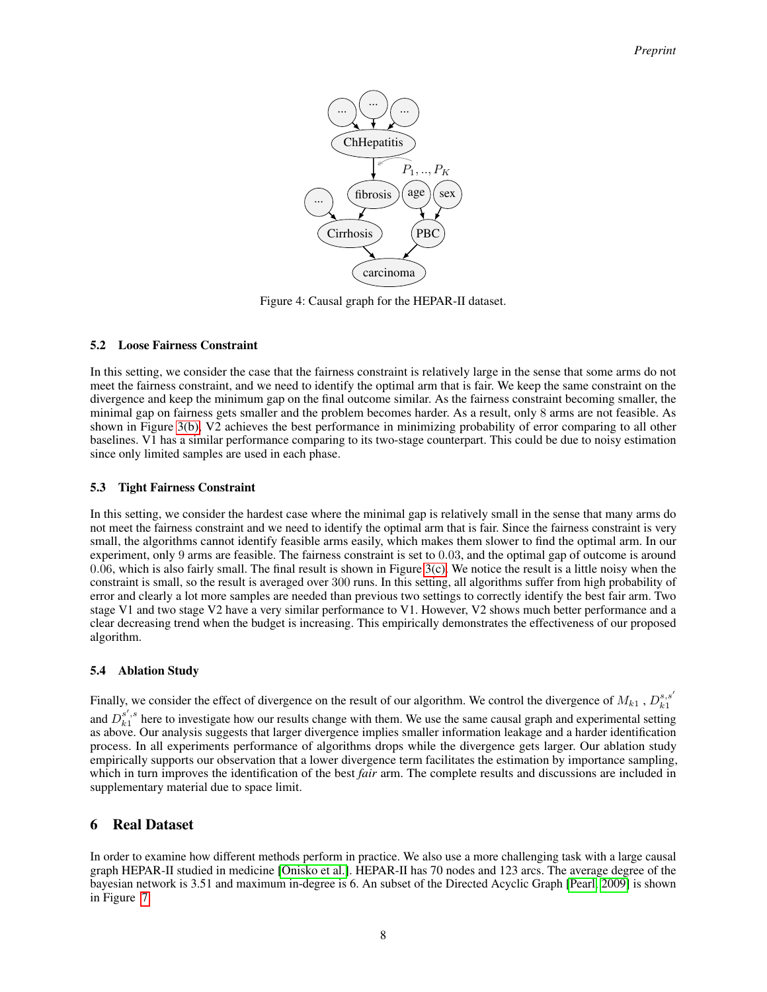

Figure 4: Causal graph for the HEPAR-II dataset.

## 5.2 Loose Fairness Constraint

In this setting, we consider the case that the fairness constraint is relatively large in the sense that some arms do not meet the fairness constraint, and we need to identify the optimal arm that is fair. We keep the same constraint on the divergence and keep the minimum gap on the final outcome similar. As the fairness constraint becoming smaller, the minimal gap on fairness gets smaller and the problem becomes harder. As a result, only 8 arms are not feasible. As shown in Figure [3\(b\),](#page-6-3) V2 achieves the best performance in minimizing probability of error comparing to all other baselines. V1 has a similar performance comparing to its two-stage counterpart. This could be due to noisy estimation since only limited samples are used in each phase.

## 5.3 Tight Fairness Constraint

In this setting, we consider the hardest case where the minimal gap is relatively small in the sense that many arms do not meet the fairness constraint and we need to identify the optimal arm that is fair. Since the fairness constraint is very small, the algorithms cannot identify feasible arms easily, which makes them slower to find the optimal arm. In our experiment, only 9 arms are feasible. The fairness constraint is set to 0.03, and the optimal gap of outcome is around 0.06, which is also fairly small. The final result is shown in Figure [3\(c\).](#page-6-4) We notice the result is a little noisy when the constraint is small, so the result is averaged over 300 runs. In this setting, all algorithms suffer from high probability of error and clearly a lot more samples are needed than previous two settings to correctly identify the best fair arm. Two stage V1 and two stage V2 have a very similar performance to V1. However, V2 shows much better performance and a clear decreasing trend when the budget is increasing. This empirically demonstrates the effectiveness of our proposed algorithm.

#### 5.4 Ablation Study

Finally, we consider the effect of divergence on the result of our algorithm. We control the divergence of  $M_{k1}$ ,  $D_{k1}^{s,s'}$ 

and  $D_{k1}^{s',s}$  here to investigate how our results change with them. We use the same causal graph and experimental setting as above. Our analysis suggests that larger divergence implies smaller information leakage and a harder identification process. In all experiments performance of algorithms drops while the divergence gets larger. Our ablation study empirically supports our observation that a lower divergence term facilitates the estimation by importance sampling, which in turn improves the identification of the best *fair* arm. The complete results and discussions are included in supplementary material due to space limit.

## 6 Real Dataset

In order to examine how different methods perform in practice. We also use a more challenging task with a large causal graph HEPAR-II studied in medicine [\[Onisko et al.\]](#page-10-8). HEPAR-II has 70 nodes and 123 arcs. The average degree of the bayesian network is 3.51 and maximum in-degree is 6. An subset of the Directed Acyclic Graph [\[Pearl, 2009\]](#page-10-2) is shown in Figure [7.](#page-19-0)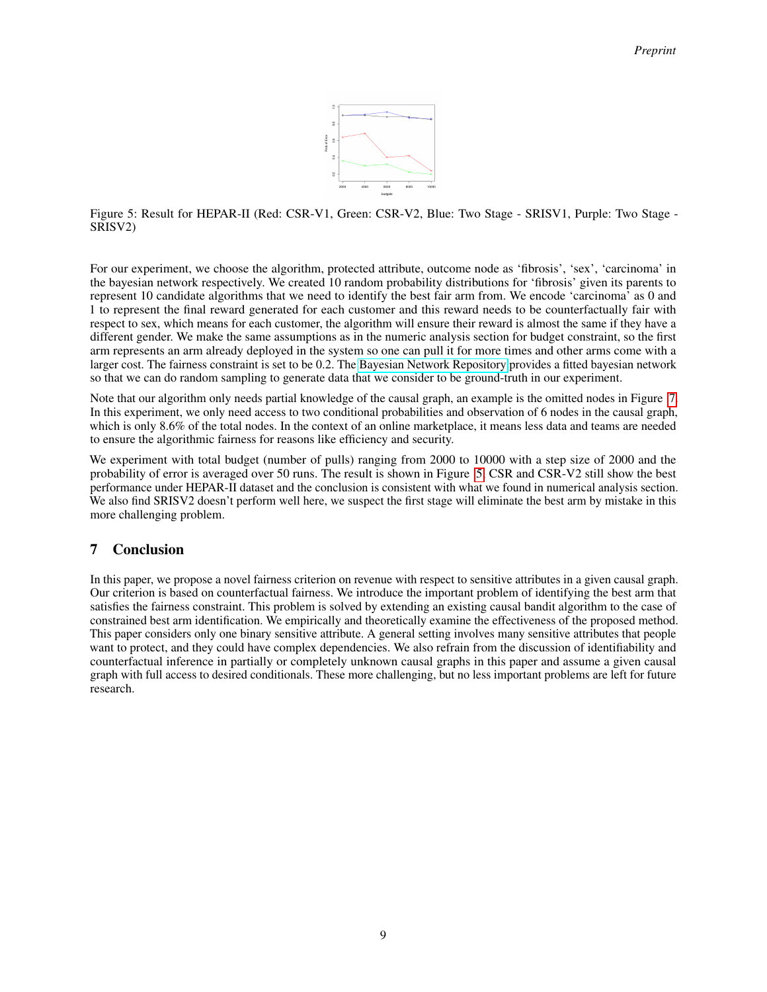

<span id="page-8-0"></span>Figure 5: Result for HEPAR-II (Red: CSR-V1, Green: CSR-V2, Blue: Two Stage - SRISV1, Purple: Two Stage - SRISV2)

For our experiment, we choose the algorithm, protected attribute, outcome node as 'fibrosis', 'sex', 'carcinoma' in the bayesian network respectively. We created 10 random probability distributions for 'fibrosis' given its parents to represent 10 candidate algorithms that we need to identify the best fair arm from. We encode 'carcinoma' as 0 and 1 to represent the final reward generated for each customer and this reward needs to be counterfactually fair with respect to sex, which means for each customer, the algorithm will ensure their reward is almost the same if they have a different gender. We make the same assumptions as in the numeric analysis section for budget constraint, so the first arm represents an arm already deployed in the system so one can pull it for more times and other arms come with a larger cost. The fairness constraint is set to be 0.2. The [Bayesian Network Repository](https://www.bnlearn.com/bnrepository/discrete-large.html#hepar2) provides a fitted bayesian network so that we can do random sampling to generate data that we consider to be ground-truth in our experiment.

Note that our algorithm only needs partial knowledge of the causal graph, an example is the omitted nodes in Figure [7.](#page-19-0) In this experiment, we only need access to two conditional probabilities and observation of 6 nodes in the causal graph, which is only 8.6% of the total nodes. In the context of an online marketplace, it means less data and teams are needed to ensure the algorithmic fairness for reasons like efficiency and security.

We experiment with total budget (number of pulls) ranging from 2000 to 10000 with a step size of 2000 and the probability of error is averaged over 50 runs. The result is shown in Figure [5,](#page-8-0) CSR and CSR-V2 still show the best performance under HEPAR-II dataset and the conclusion is consistent with what we found in numerical analysis section. We also find SRISV2 doesn't perform well here, we suspect the first stage will eliminate the best arm by mistake in this more challenging problem.

# 7 Conclusion

In this paper, we propose a novel fairness criterion on revenue with respect to sensitive attributes in a given causal graph. Our criterion is based on counterfactual fairness. We introduce the important problem of identifying the best arm that satisfies the fairness constraint. This problem is solved by extending an existing causal bandit algorithm to the case of constrained best arm identification. We empirically and theoretically examine the effectiveness of the proposed method. This paper considers only one binary sensitive attribute. A general setting involves many sensitive attributes that people want to protect, and they could have complex dependencies. We also refrain from the discussion of identifiability and counterfactual inference in partially or completely unknown causal graphs in this paper and assume a given causal graph with full access to desired conditionals. These more challenging, but no less important problems are left for future research.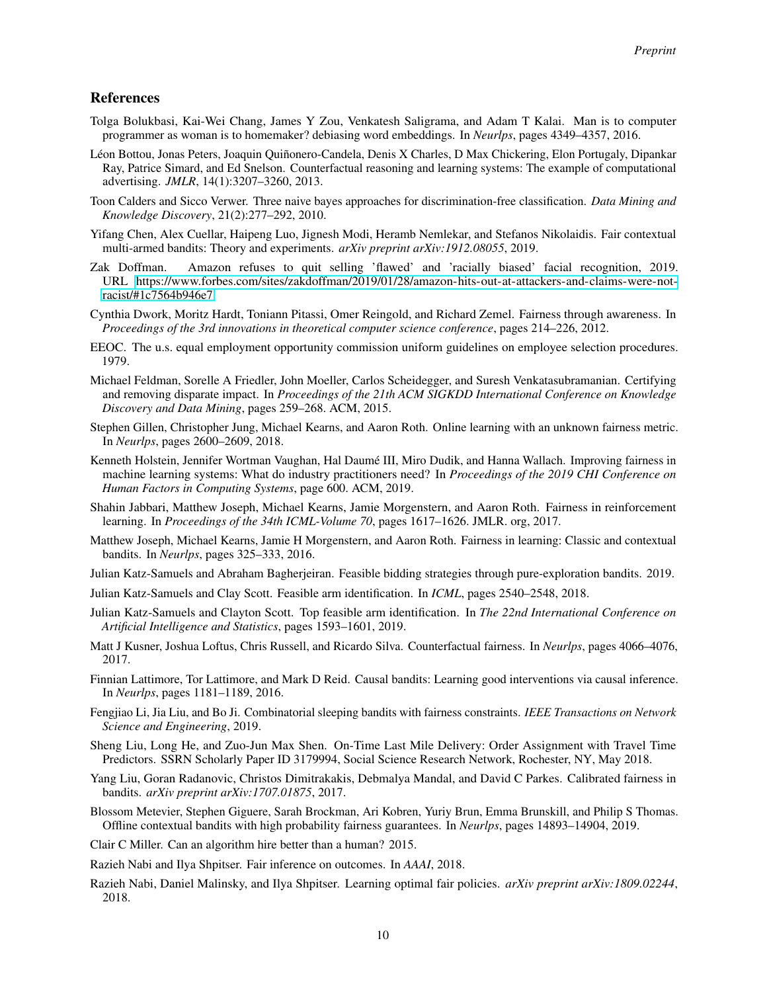## References

- <span id="page-9-5"></span>Tolga Bolukbasi, Kai-Wei Chang, James Y Zou, Venkatesh Saligrama, and Adam T Kalai. Man is to computer programmer as woman is to homemaker? debiasing word embeddings. In *Neurlps*, pages 4349–4357, 2016.
- <span id="page-9-2"></span>Léon Bottou, Jonas Peters, Joaquin Quiñonero-Candela, Denis X Charles, D Max Chickering, Elon Portugaly, Dipankar Ray, Patrice Simard, and Ed Snelson. Counterfactual reasoning and learning systems: The example of computational advertising. *JMLR*, 14(1):3207–3260, 2013.
- <span id="page-9-3"></span>Toon Calders and Sicco Verwer. Three naive bayes approaches for discrimination-free classification. *Data Mining and Knowledge Discovery*, 21(2):277–292, 2010.
- <span id="page-9-17"></span>Yifang Chen, Alex Cuellar, Haipeng Luo, Jignesh Modi, Heramb Nemlekar, and Stefanos Nikolaidis. Fair contextual multi-armed bandits: Theory and experiments. *arXiv preprint arXiv:1912.08055*, 2019.
- <span id="page-9-9"></span>Zak Doffman. Amazon refuses to quit selling 'flawed' and 'racially biased' facial recognition, 2019. URL [https://www.forbes.com/sites/zakdoffman/2019/01/28/amazon-hits-out-at-attackers-and-claims-were-not](https://www.forbes.com/sites/zakdoffman/2019/01/28/amazon-hits-out-at-attackers-and-claims-were-not-racist/#1c7564b946e7)[racist/#1c7564b946e7.](https://www.forbes.com/sites/zakdoffman/2019/01/28/amazon-hits-out-at-attackers-and-claims-were-not-racist/#1c7564b946e7)
- <span id="page-9-4"></span>Cynthia Dwork, Moritz Hardt, Toniann Pitassi, Omer Reingold, and Richard Zemel. Fairness through awareness. In *Proceedings of the 3rd innovations in theoretical computer science conference*, pages 214–226, 2012.
- <span id="page-9-23"></span>EEOC. The u.s. equal employment opportunity commission uniform guidelines on employee selection procedures. 1979.
- <span id="page-9-22"></span>Michael Feldman, Sorelle A Friedler, John Moeller, Carlos Scheidegger, and Suresh Venkatasubramanian. Certifying and removing disparate impact. In *Proceedings of the 21th ACM SIGKDD International Conference on Knowledge Discovery and Data Mining*, pages 259–268. ACM, 2015.
- <span id="page-9-13"></span>Stephen Gillen, Christopher Jung, Michael Kearns, and Aaron Roth. Online learning with an unknown fairness metric. In *Neurlps*, pages 2600–2609, 2018.
- <span id="page-9-15"></span>Kenneth Holstein, Jennifer Wortman Vaughan, Hal Daumé III, Miro Dudik, and Hanna Wallach. Improving fairness in machine learning systems: What do industry practitioners need? In *Proceedings of the 2019 CHI Conference on Human Factors in Computing Systems*, page 600. ACM, 2019.
- <span id="page-9-14"></span>Shahin Jabbari, Matthew Joseph, Michael Kearns, Jamie Morgenstern, and Aaron Roth. Fairness in reinforcement learning. In *Proceedings of the 34th ICML-Volume 70*, pages 1617–1626. JMLR. org, 2017.
- <span id="page-9-7"></span>Matthew Joseph, Michael Kearns, Jamie H Morgenstern, and Aaron Roth. Fairness in learning: Classic and contextual bandits. In *Neurlps*, pages 325–333, 2016.
- <span id="page-9-21"></span>Julian Katz-Samuels and Abraham Bagherjeiran. Feasible bidding strategies through pure-exploration bandits. 2019.
- <span id="page-9-20"></span>Julian Katz-Samuels and Clay Scott. Feasible arm identification. In *ICML*, pages 2540–2548, 2018.
- <span id="page-9-10"></span>Julian Katz-Samuels and Clayton Scott. Top feasible arm identification. In *The 22nd International Conference on Artificial Intelligence and Statistics*, pages 1593–1601, 2019.
- <span id="page-9-8"></span>Matt J Kusner, Joshua Loftus, Chris Russell, and Ricardo Silva. Counterfactual fairness. In *Neurlps*, pages 4066–4076, 2017.
- <span id="page-9-11"></span>Finnian Lattimore, Tor Lattimore, and Mark D Reid. Causal bandits: Learning good interventions via causal inference. In *Neurlps*, pages 1181–1189, 2016.
- <span id="page-9-16"></span>Fengjiao Li, Jia Liu, and Bo Ji. Combinatorial sleeping bandits with fairness constraints. *IEEE Transactions on Network Science and Engineering*, 2019.
- <span id="page-9-1"></span>Sheng Liu, Long He, and Zuo-Jun Max Shen. On-Time Last Mile Delivery: Order Assignment with Travel Time Predictors. SSRN Scholarly Paper ID 3179994, Social Science Research Network, Rochester, NY, May 2018.
- <span id="page-9-19"></span>Yang Liu, Goran Radanovic, Christos Dimitrakakis, Debmalya Mandal, and David C Parkes. Calibrated fairness in bandits. *arXiv preprint arXiv:1707.01875*, 2017.
- <span id="page-9-18"></span>Blossom Metevier, Stephen Giguere, Sarah Brockman, Ari Kobren, Yuriy Brun, Emma Brunskill, and Philip S Thomas. Offline contextual bandits with high probability fairness guarantees. In *Neurlps*, pages 14893–14904, 2019.
- <span id="page-9-0"></span>Clair C Miller. Can an algorithm hire better than a human? 2015.
- <span id="page-9-6"></span>Razieh Nabi and Ilya Shpitser. Fair inference on outcomes. In *AAAI*, 2018.
- <span id="page-9-12"></span>Razieh Nabi, Daniel Malinsky, and Ilya Shpitser. Learning optimal fair policies. *arXiv preprint arXiv:1809.02244*, 2018.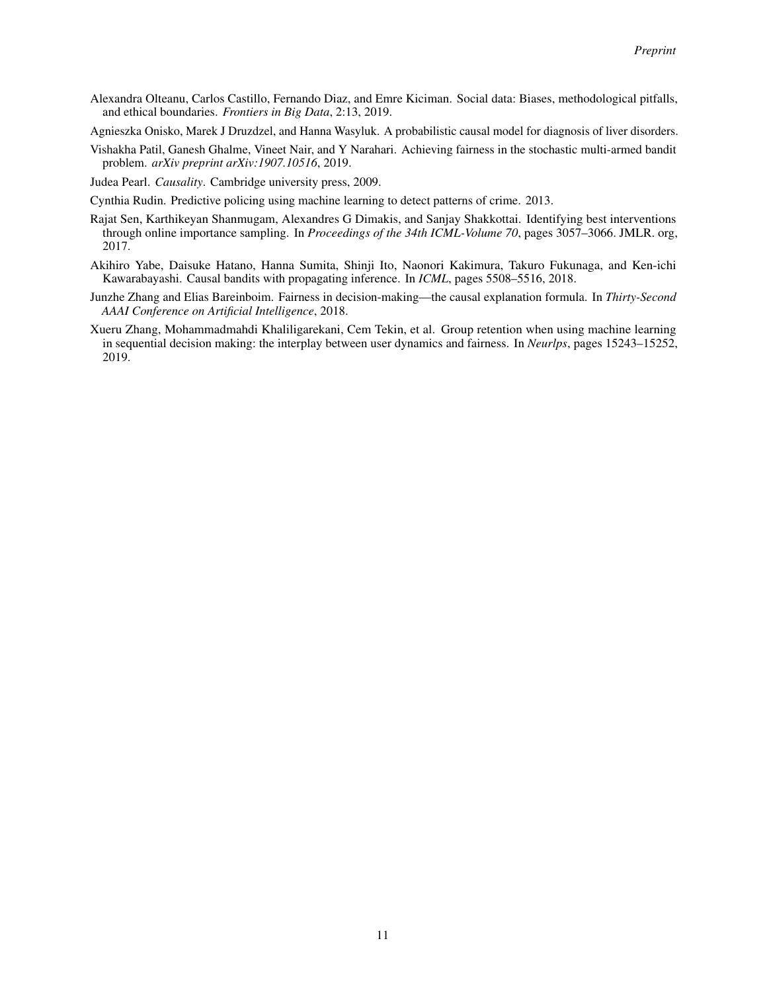- <span id="page-10-5"></span>Alexandra Olteanu, Carlos Castillo, Fernando Diaz, and Emre Kiciman. Social data: Biases, methodological pitfalls, and ethical boundaries. *Frontiers in Big Data*, 2:13, 2019.
- <span id="page-10-8"></span>Agnieszka Onisko, Marek J Druzdzel, and Hanna Wasyluk. A probabilistic causal model for diagnosis of liver disorders.
- <span id="page-10-7"></span>Vishakha Patil, Ganesh Ghalme, Vineet Nair, and Y Narahari. Achieving fairness in the stochastic multi-armed bandit problem. *arXiv preprint arXiv:1907.10516*, 2019.
- <span id="page-10-2"></span>Judea Pearl. *Causality*. Cambridge university press, 2009.
- <span id="page-10-0"></span>Cynthia Rudin. Predictive policing using machine learning to detect patterns of crime. 2013.
- <span id="page-10-1"></span>Rajat Sen, Karthikeyan Shanmugam, Alexandres G Dimakis, and Sanjay Shakkottai. Identifying best interventions through online importance sampling. In *Proceedings of the 34th ICML-Volume 70*, pages 3057–3066. JMLR. org, 2017.
- <span id="page-10-3"></span>Akihiro Yabe, Daisuke Hatano, Hanna Sumita, Shinji Ito, Naonori Kakimura, Takuro Fukunaga, and Ken-ichi Kawarabayashi. Causal bandits with propagating inference. In *ICML*, pages 5508–5516, 2018.
- <span id="page-10-4"></span>Junzhe Zhang and Elias Bareinboim. Fairness in decision-making—the causal explanation formula. In *Thirty-Second AAAI Conference on Artificial Intelligence*, 2018.
- <span id="page-10-6"></span>Xueru Zhang, Mohammadmahdi Khaliligarekani, Cem Tekin, et al. Group retention when using machine learning in sequential decision making: the interplay between user dynamics and fairness. In *Neurlps*, pages 15243–15252, 2019.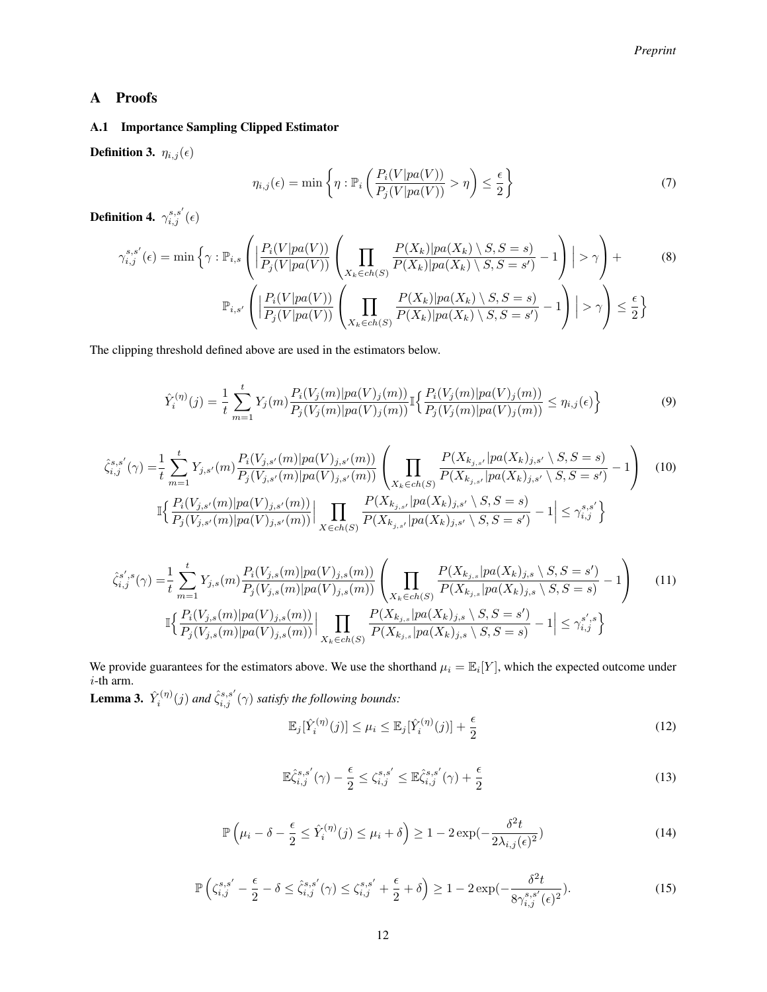# A Proofs

## A.1 Importance Sampling Clipped Estimator

**Definition 3.**  $\eta_{i,j}(\epsilon)$ 

<span id="page-11-4"></span>
$$
\eta_{i,j}(\epsilon) = \min\left\{\eta : \mathbb{P}_i\left(\frac{P_i(V|pa(V))}{P_j(V|pa(V))} > \eta\right) \le \frac{\epsilon}{2}\right\} \tag{7}
$$

**Definition 4.**  $\gamma^{s,s'}_{i,j}(\epsilon)$ 

$$
\gamma_{i,j}^{s,s'}(\epsilon) = \min\left\{\gamma : \mathbb{P}_{i,s}\left(\left|\frac{P_i(V|pa(V))}{P_j(V|pa(V))}\left(\prod_{X_k \in ch(S)} \frac{P(X_k)|pa(X_k) \setminus S, S = s)}{P(X_k)|pa(X_k) \setminus S, S = s'} - 1\right)\right|\right) > \gamma\right\} + \mathbb{P}_{i,s'}\left(\left|\frac{P_i(V|pa(V))}{P_j(V|pa(V))}\left(\prod_{X_k \in ch(S)} \frac{P(X_k)|pa(X_k) \setminus S, S = s)}{P(X_k)|pa(X_k) \setminus S, S = s'} - 1\right)\right|\right) > \gamma\right) \le \frac{\epsilon}{2}\right\}
$$
(8)

The clipping threshold defined above are used in the estimators below.

$$
\hat{Y}_i^{(\eta)}(j) = \frac{1}{t} \sum_{m=1}^t Y_j(m) \frac{P_i(V_j(m)|pa(V)_j(m))}{P_j(V_j(m)|pa(V)_j(m))} \mathbb{I}\left\{\frac{P_i(V_j(m)|pa(V)_j(m))}{P_j(V_j(m)|pa(V)_j(m))} \le \eta_{i,j}(\epsilon)\right\}
$$
\n(9)

$$
\hat{\zeta}_{i,j}^{s,s'}(\gamma) = \frac{1}{t} \sum_{m=1}^{t} Y_{j,s'}(m) \frac{P_i(V_{j,s'}(m)|pa(V)_{j,s'}(m))}{P_j(V_{j,s'}(m)|pa(V)_{j,s'}(m))} \left( \prod_{X_k \in ch(S)} \frac{P(X_{k_{j,s'}}|pa(X_k)_{j,s'} \setminus S, S = s)}{P(X_{k_{j,s'}}|pa(X_k)_{j,s'} \setminus S, S = s')} - 1 \right)
$$
\n
$$
\mathbb{I} \Big\{ \frac{P_i(V_{j,s'}(m)|pa(V)_{j,s'}(m))}{P_j(V_{j,s'}(m)|pa(V)_{j,s'}(m))} \Big| \prod_{X \in ch(S)} \frac{P(X_{k_{j,s'}}|pa(X_k)_{j,s'} \setminus S, S = s)}{P(X_{k_{j,s'}}|pa(X_k)_{j,s'} \setminus S, S = s')} - 1 \Big| \le \gamma_{i,j}^{s,s'} \Big\}
$$
\n(10)

$$
\hat{\zeta}_{i,j}^{s',s}(\gamma) = \frac{1}{t} \sum_{m=1}^{t} Y_{j,s}(m) \frac{P_i(V_{j,s}(m)|pa(V)_{j,s}(m))}{P_j(V_{j,s}(m)|pa(V)_{j,s}(m))} \left( \prod_{X_k \in ch(S)} \frac{P(X_{k_{j,s}}|pa(X_k)_{j,s} \setminus S, S = s')}{P(X_{k_{j,s}}|pa(X_k)_{j,s} \setminus S, S = s)} - 1 \right)
$$
\n
$$
\mathbb{I} \left\{ \frac{P_i(V_{j,s}(m)|pa(V)_{j,s}(m))}{P_j(V_{j,s}(m)|pa(V)_{j,s}(m))} \Big| \prod_{X_k \in ch(S)} \frac{P(X_{k_{j,s}}|pa(X_k)_{j,s} \setminus S, S = s')}{P(X_{k_{j,s}}|pa(X_k)_{j,s} \setminus S, S = s)} - 1 \right| \le \gamma_{i,j}^{s',s} \right\}
$$
\n(11)

We provide guarantees for the estimators above. We use the shorthand  $\mu_i = \mathbb{E}_i[Y]$ , which the expected outcome under  $i$ -th arm.

**Lemma 3.**  $\hat{Y}_i^{(\eta)}(j)$  and  $\hat{\zeta}_{i,j}^{s,s'}(\gamma)$  satisfy the following bounds:

<span id="page-11-5"></span><span id="page-11-1"></span><span id="page-11-0"></span>
$$
\mathbb{E}_j[\hat{Y}_i^{(\eta)}(j)] \le \mu_i \le \mathbb{E}_j[\hat{Y}_i^{(\eta)}(j)] + \frac{\epsilon}{2}
$$
\n(12)

<span id="page-11-3"></span><span id="page-11-2"></span>
$$
\mathbb{E}\hat{\zeta}_{i,j}^{s,s'}(\gamma) - \frac{\epsilon}{2} \le \zeta_{i,j}^{s,s'} \le \mathbb{E}\hat{\zeta}_{i,j}^{s,s'}(\gamma) + \frac{\epsilon}{2}
$$
\n(13)

$$
\mathbb{P}\left(\mu_i - \delta - \frac{\epsilon}{2} \le \hat{Y}_i^{(\eta)}(j) \le \mu_i + \delta\right) \ge 1 - 2\exp(-\frac{\delta^2 t}{2\lambda_{i,j}(\epsilon)^2})\tag{14}
$$

$$
\mathbb{P}\left(\zeta_{i,j}^{s,s'}-\frac{\epsilon}{2}-\delta\leq\hat{\zeta}_{i,j}^{s,s'}(\gamma)\leq\zeta_{i,j}^{s,s'}+\frac{\epsilon}{2}+\delta\right)\geq 1-2\exp(-\frac{\delta^2t}{8\gamma_{i,j}^{s,s'}(\epsilon)^2}).\tag{15}
$$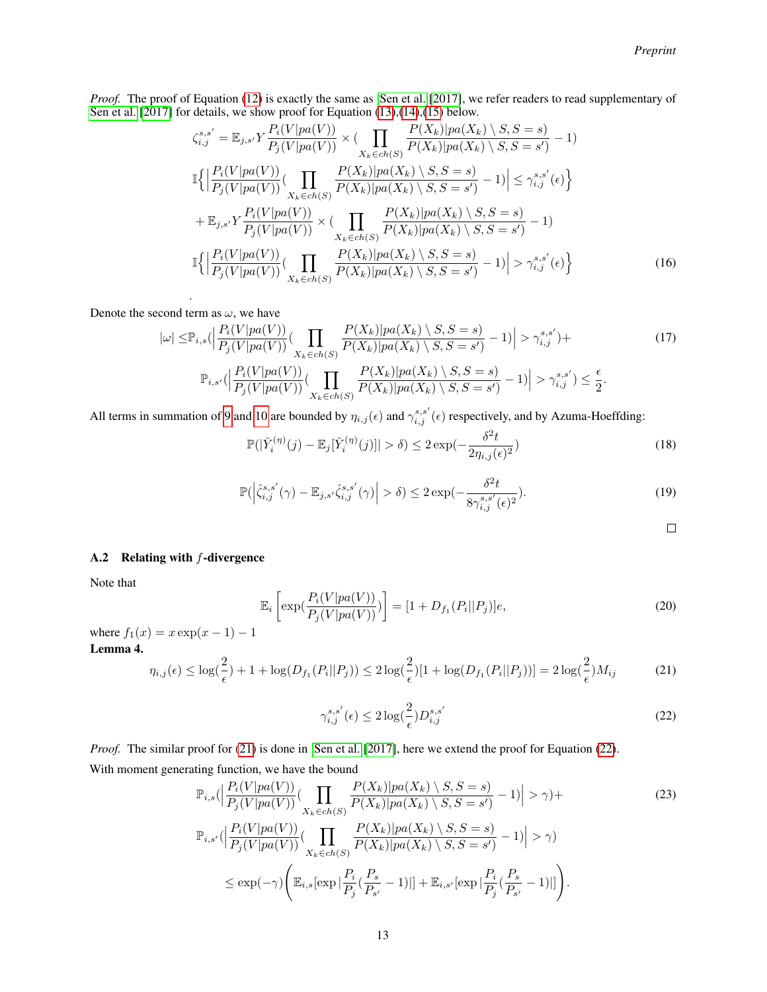*Proof.* The proof of Equation [\(12\)](#page-11-0) is exactly the same as [Sen et al.](#page-10-1) [\[2017\]](#page-10-1), we refer readers to read supplementary of [Sen et al.](#page-10-1) [\[2017\]](#page-10-1) for details, we show proof for Equation [\(13\)](#page-11-1),[\(14\)](#page-11-2),[\(15\)](#page-11-3) below.

$$
\zeta_{i,j}^{s,s'} = \mathbb{E}_{j,s'} Y \frac{P_i(V|pa(V))}{P_j(V|pa(V))} \times (\prod_{X_k \in ch(S)} \frac{P(X_k)|pa(X_k) \setminus S, S = s)}{P(X_k)|pa(X_k) \setminus S, S = s')} - 1)
$$
  

$$
\mathbb{I}\Big\{\Big|\frac{P_i(V|pa(V))}{P_j(V|pa(V))} (\prod_{X_k \in ch(S)} \frac{P(X_k)|pa(X_k) \setminus S, S = s)}{P(X_k)|pa(X_k) \setminus S, S = s')} - 1\Big| \leq \gamma_{i,j}^{s,s'}(\epsilon) \Big\}
$$
  

$$
+ \mathbb{E}_{j,s'} Y \frac{P_i(V|pa(V))}{P_j(V|pa(V))} \times (\prod_{X_k \in ch(S)} \frac{P(X_k)|pa(X_k) \setminus S, S = s)}{P(X_k)|pa(X_k) \setminus S, S = s')} - 1)
$$
  

$$
\mathbb{I}\Big\{\Big|\frac{P_i(V|pa(V))}{P_j(V|pa(V))} (\prod_{X_k \in ch(S)} \frac{P(X_k)|pa(X_k) \setminus S, S = s)}{P(X_k)|pa(X_k) \setminus S, S = s')} - 1\Big| > \gamma_{i,j}^{s,s'}(\epsilon) \Big\}
$$
(16)

. Denote the second term as  $\omega$ , we have

$$
|\omega| \leq \mathbb{P}_{i,s}(|\frac{P_i(V|pa(V))}{P_j(V|pa(V))}(\prod_{X_k \in ch(S)} \frac{P(X_k)|pa(X_k) \setminus S, S = s)}{P(X_k)|pa(X_k) \setminus S, S = s')} - 1)| > \gamma_{i,j}^{s,s'}) +
$$
\n
$$
\mathbb{P}_{i,s'}(|\frac{P_i(V|pa(V))}{P_j(V|pa(V))}(\prod_{X_k \in ch(S)} \frac{P(X_k)|pa(X_k) \setminus S, S = s)}{P(X_k)|pa(X_k) \setminus S, S = s')} - 1)| > \gamma_{i,j}^{s,s'}) \leq \frac{\epsilon}{2}.
$$
\n(17)

All terms in summation of [9](#page-11-4) and [10](#page-11-5) are bounded by  $\eta_{i,j}(\epsilon)$  and  $\gamma_{i,j}^{s,s'}(\epsilon)$  respectively, and by Azuma-Hoeffding:

$$
\mathbb{P}(|\hat{Y}_i^{(\eta)}(j) - \mathbb{E}_j[\hat{Y}_i^{(\eta)}(j)]| > \delta) \le 2 \exp(-\frac{\delta^2 t}{2\eta_{i,j}(\epsilon)^2})
$$
\n(18)

$$
\mathbb{P}\left(\left|\hat{\zeta}_{i,j}^{s,s'}(\gamma) - \mathbb{E}_{j,s'}\hat{\zeta}_{i,j}^{s,s'}(\gamma)\right| > \delta\right) \le 2\exp\left(-\frac{\delta^2 t}{8\gamma_{i,j}^{s,s'}(\epsilon)^2}\right). \tag{19}
$$

<span id="page-12-1"></span><span id="page-12-0"></span> $\Box$ 

# A.2 Relating with  $f$ -divergence

Note that

$$
\mathbb{E}_{i}\left[\exp(\frac{P_{i}(V|pa(V))}{P_{j}(V|pa(V))})\right] = [1 + D_{f_{1}}(P_{i}||P_{j})]e,
$$
\n(20)

where  $f_1(x) = x \exp(x - 1) - 1$ Lemma 4.

$$
\eta_{i,j}(\epsilon) \le \log(\frac{2}{\epsilon}) + 1 + \log(D_{f_1}(P_i||P_j)) \le 2\log(\frac{2}{\epsilon})[1 + \log(D_{f_1}(P_i||P_j))] = 2\log(\frac{2}{\epsilon})M_{ij}
$$
(21)

$$
\gamma_{i,j}^{s,s'}(\epsilon) \le 2\log(\frac{2}{\epsilon})D_{i,j}^{s,s'}\tag{22}
$$

*Proof.* The similar proof for [\(21\)](#page-12-0) is done in [Sen et al.](#page-10-1) [\[2017\]](#page-10-1), here we extend the proof for Equation [\(22\)](#page-12-1). With moment generating function, we have the bound

$$
\mathbb{P}_{i,s}\left(\left|\frac{P_i(V|pa(V))}{P_j(V|pa(V))}\right(\prod_{X_k \in ch(S)}\frac{P(X_k)|pa(X_k) \setminus S, S=s)}{P(X_k)|pa(X_k) \setminus S, S=s')} - 1\right| > \gamma) + \mathbb{P}_{i,s'}\left(\left|\frac{P_i(V|pa(V))}{P_j(V|pa(V))}\right(\prod_{X_k \in ch(S)}\frac{P(X_k)|pa(X_k) \setminus S, S=s)}{P(X_k)|pa(X_k) \setminus S, S=s')} - 1\right| > \gamma) \le \exp(-\gamma) \left(\mathbb{E}_{i,s}[\exp|\frac{P_i}{P_j}(\frac{P_s}{P_{s'}}-1)|] + \mathbb{E}_{i,s'}[\exp|\frac{P_i}{P_j}(\frac{P_s}{P_{s'}}-1)|]\right).
$$
\n(23)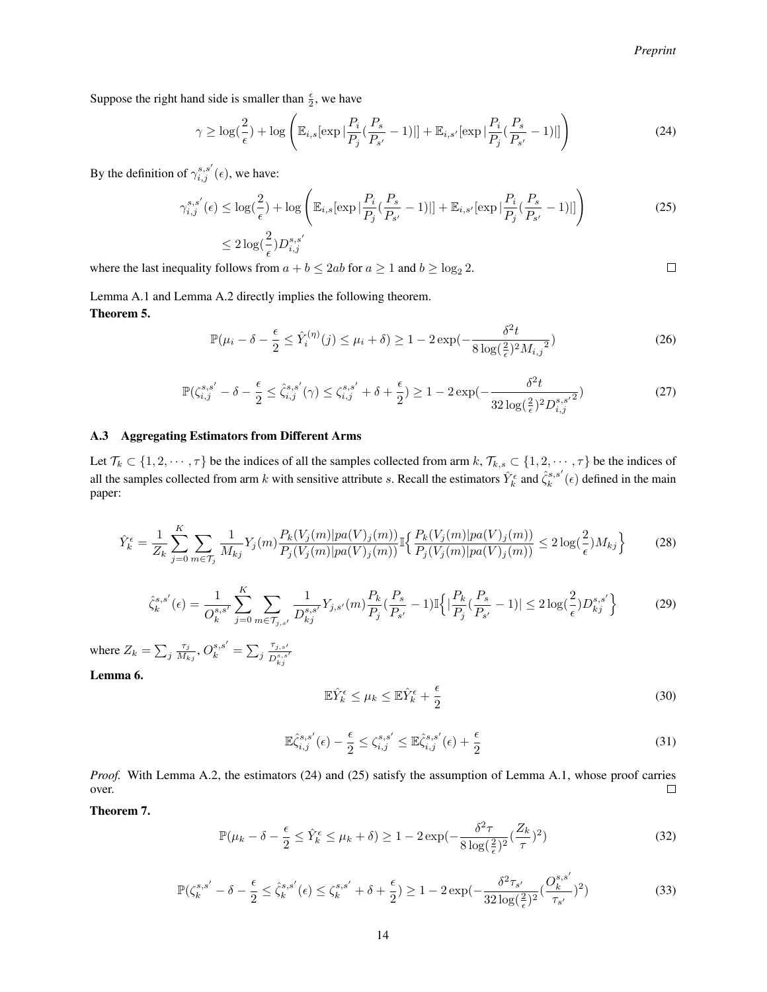$\Box$ 

Suppose the right hand side is smaller than  $\frac{\epsilon}{2}$ , we have

$$
\gamma \ge \log(\frac{2}{\epsilon}) + \log\left(\mathbb{E}_{i,s}[\exp|\frac{P_i}{P_j}(\frac{P_s}{P_{s'}}-1)|] + \mathbb{E}_{i,s'}[\exp|\frac{P_i}{P_j}(\frac{P_s}{P_{s'}}-1)|]\right)
$$
(24)

By the definition of  $\gamma_{i,j}^{s,s'}(\epsilon)$ , we have:

$$
\gamma_{i,j}^{s,s'}(\epsilon) \le \log(\frac{2}{\epsilon}) + \log\left(\mathbb{E}_{i,s}[\exp|\frac{P_i}{P_j}(\frac{P_s}{P_{s'}}-1)|] + \mathbb{E}_{i,s'}[\exp|\frac{P_i}{P_j}(\frac{P_s}{P_{s'}}-1)|]\right)
$$
(25)

$$
\leq 2\log(\frac{2}{\epsilon})D_{i,j}^{s,s'}
$$

where the last inequality follows from  $a + b \le 2ab$  for  $a \ge 1$  and  $b \ge \log_2 2$ .

Lemma A.1 and Lemma A.2 directly implies the following theorem. Theorem 5.

$$
\mathbb{P}(\mu_i - \delta - \frac{\epsilon}{2} \le \hat{Y}_i^{(\eta)}(j) \le \mu_i + \delta) \ge 1 - 2\exp(-\frac{\delta^2 t}{8\log(\frac{2}{\epsilon})^2 M_{i,j}^2})
$$
\n(26)

$$
\mathbb{P}(\zeta_{i,j}^{s,s'} - \delta - \frac{\epsilon}{2} \le \hat{\zeta}_{i,j}^{s,s'}(\gamma) \le \zeta_{i,j}^{s,s'} + \delta + \frac{\epsilon}{2}) \ge 1 - 2\exp(-\frac{\delta^2 t}{32\log(\frac{2}{\epsilon})^2 D_{i,j}^{s,s'}^2})
$$
(27)

### A.3 Aggregating Estimators from Different Arms

Let  $\mathcal{T}_k \subset \{1, 2, \dots, \tau\}$  be the indices of all the samples collected from arm  $k, \mathcal{T}_{k,s} \subset \{1, 2, \dots, \tau\}$  be the indices of all the samples collected from arm k with sensitive attribute s. Recall the estimators  $\hat{Y}_k^{\epsilon}$  and  $\hat{\zeta}_k^{s,s'}(\epsilon)$  defined in the main paper:

$$
\hat{Y}_{k}^{\epsilon} = \frac{1}{Z_{k}} \sum_{j=0}^{K} \sum_{m \in \mathcal{T}_{j}} \frac{1}{M_{kj}} Y_{j}(m) \frac{P_{k}(V_{j}(m)|pa(V)_{j}(m))}{P_{j}(V_{j}(m)|pa(V)_{j}(m))} \mathbb{I} \Big\{ \frac{P_{k}(V_{j}(m)|pa(V)_{j}(m))}{P_{j}(V_{j}(m)|pa(V)_{j}(m))} \le 2 \log(\frac{2}{\epsilon}) M_{kj} \Big\} \tag{28}
$$

$$
\hat{\zeta}_{k}^{s,s'}(\epsilon) = \frac{1}{O_{k}^{s,s'}} \sum_{j=0}^{K} \sum_{m \in \mathcal{T}_{j,s'}} \frac{1}{D_{kj}^{s,s'}} Y_{j,s'}(m) \frac{P_k}{P_j} (\frac{P_s}{P_{s'}} - 1) \mathbb{I} \Big\{ |\frac{P_k}{P_j} (\frac{P_s}{P_{s'}} - 1)| \le 2 \log(\frac{2}{\epsilon}) D_{kj}^{s,s'} \Big\}
$$
(29)

where  $Z_k = \sum_j \frac{\tau_j}{M_k}$  $\frac{\tau_j}{M_{kj}}, O_k^{s,s'} = \sum_j \frac{\tau_{j,s'}}{D_s^{s,s}}$  $\overline{D_{kj}^{s,s'}}$ 

Lemma 6.

$$
\mathbb{E}\hat{Y}_k^{\epsilon} \le \mu_k \le \mathbb{E}\hat{Y}_k^{\epsilon} + \frac{\epsilon}{2}
$$
 (30)

$$
\mathbb{E}\hat{\zeta}_{i,j}^{s,s'}(\epsilon) - \frac{\epsilon}{2} \le \zeta_{i,j}^{s,s'} \le \mathbb{E}\hat{\zeta}_{i,j}^{s,s'}(\epsilon) + \frac{\epsilon}{2}
$$
\n(31)

*Proof.* With Lemma A.2, the estimators (24) and (25) satisfy the assumption of Lemma A.1, whose proof carries over.  $\Box$ 

Theorem 7.

$$
\mathbb{P}(\mu_k - \delta - \frac{\epsilon}{2} \le \hat{Y}_k^{\epsilon} \le \mu_k + \delta) \ge 1 - 2\exp(-\frac{\delta^2 \tau}{8\log(\frac{2}{\epsilon})^2}(\frac{Z_k}{\tau})^2)
$$
\n(32)

$$
\mathbb{P}(\zeta_k^{s,s'} - \delta - \frac{\epsilon}{2} \le \hat{\zeta}_k^{s,s'}(\epsilon) \le \zeta_k^{s,s'} + \delta + \frac{\epsilon}{2}) \ge 1 - 2\exp(-\frac{\delta^2 \tau_{s'}}{32\log(\frac{2}{\epsilon})^2}(\frac{O_k^{s,s'}}{\tau_{s'}})^2)
$$
(33)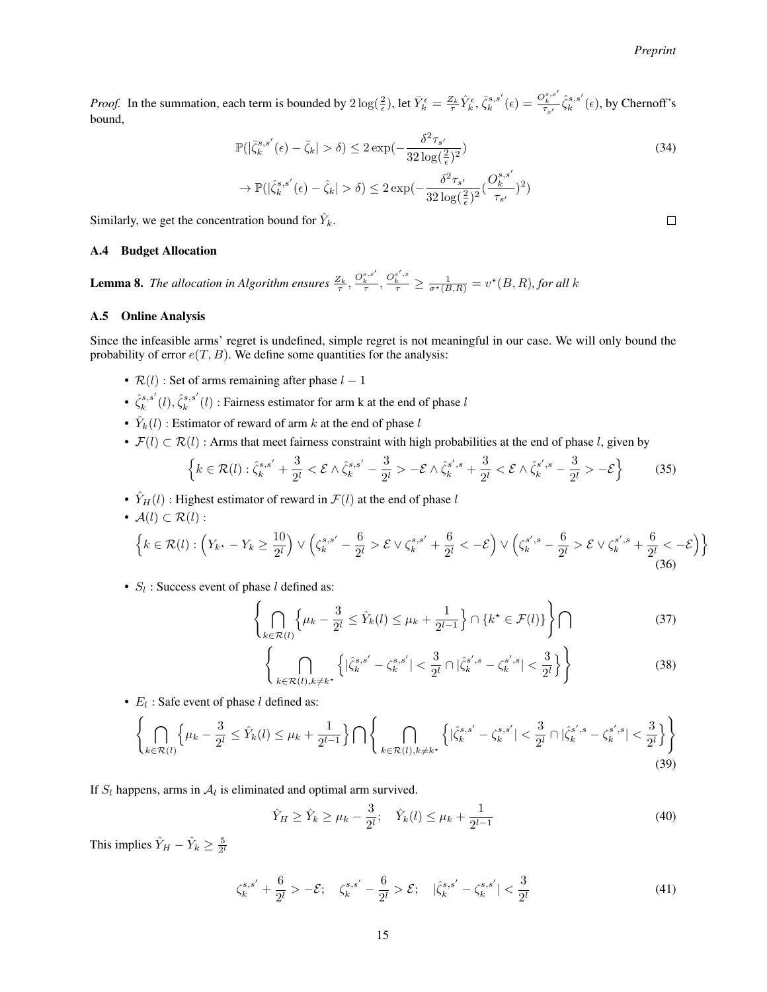*Proof.* In the summation, each term is bounded by  $2\log(\frac{2}{\epsilon})$ , let  $\bar{Y}_k^{\epsilon} = \frac{Z_k}{\tau} \hat{Y}_k^{\epsilon}$ ,  $\bar{\zeta}_k^{s,s'}(\epsilon) = \frac{O_k^{s,s'}}{\tau_{s'}} \hat{\zeta}_k^{s,s'}(\epsilon)$ , by Chernoff's bound,

$$
\mathbb{P}(|\bar{\zeta}_k^{s,s'}(\epsilon) - \bar{\zeta}_k| > \delta) \le 2 \exp\left(-\frac{\delta^2 \tau_{s'}}{32 \log(\frac{2}{\epsilon})^2}\right)
$$
\n
$$
\to \mathbb{P}(|\hat{\zeta}_k^{s,s'}(\epsilon) - \hat{\zeta}_k| > \delta) \le 2 \exp\left(-\frac{\delta^2 \tau_{s'}}{32 \log(\frac{2}{\epsilon})^2} (\frac{O_k^{s,s'}}{\tau_{s'}})^2\right)
$$
\n(34)

Similarly, we get the concentration bound for  $\hat{Y}_k$ .

## A.4 Budget Allocation

**Lemma 8.** The allocation in Algorithm ensures  $\frac{Z_k}{\tau}$ ,  $\frac{Q_k^{s,s'}}{\tau}$ ,  $\frac{Q_k^{s',s}}{\tau} \ge \frac{1}{\sigma^*(B,R)} = v^*(B,R)$ , for all k

## A.5 Online Analysis

Since the infeasible arms' regret is undefined, simple regret is not meaningful in our case. We will only bound the probability of error  $e(T, B)$ . We define some quantities for the analysis:

- $\mathcal{R}(l)$ : Set of arms remaining after phase  $l 1$
- $\hat{\zeta}_k^{s,s'}(l), \hat{\zeta}_k^{s,s'}(l)$  : Fairness estimator for arm k at the end of phase l
- $\hat{Y}_k(l)$ : Estimator of reward of arm k at the end of phase l
- $\mathcal{F}(l) \subset \mathcal{R}(l)$ : Arms that meet fairness constraint with high probabilities at the end of phase l, given by

$$
\left\{ k \in \mathcal{R}(l) : \hat{\zeta}_k^{s,s'} + \frac{3}{2^l} < \mathcal{E} \land \hat{\zeta}_k^{s,s'} - \frac{3}{2^l} > -\mathcal{E} \land \hat{\zeta}_k^{s',s} + \frac{3}{2^l} < \mathcal{E} \land \hat{\zeta}_k^{s',s} - \frac{3}{2^l} > -\mathcal{E} \right\} \tag{35}
$$

•  $\hat{Y}_H(l)$ : Highest estimator of reward in  $\mathcal{F}(l)$  at the end of phase l

• 
$$
A(l) \subset \mathcal{R}(l)
$$
:  
\n
$$
\left\{ k \in \mathcal{R}(l) : \left( Y_{k^*} - Y_k \ge \frac{10}{2^l} \right) \vee \left( \zeta_k^{s,s'} - \frac{6}{2^l} > \mathcal{E} \vee \zeta_k^{s,s'} + \frac{6}{2^l} < -\mathcal{E} \right) \vee \left( \zeta_k^{s',s} - \frac{6}{2^l} > \mathcal{E} \vee \zeta_k^{s',s} + \frac{6}{2^l} < -\mathcal{E} \right) \right\}
$$
\n(36)

•  $S_l$ : Success event of phase l defined as:

$$
\left\{\bigcap_{k\in\mathcal{R}(l)}\left\{\mu_k-\frac{3}{2^l}\leq \hat{Y}_k(l)\leq \mu_k+\frac{1}{2^{l-1}}\right\}\cap\left\{k^\star\in\mathcal{F}(l)\right\}\right\}\bigcap\tag{37}
$$

$$
\left\{ \bigcap_{k \in \mathcal{R}(l), k \neq k^*} \left\{ |\hat{\zeta}_k^{s,s'} - {\zeta_k^{s,s'}}| < \frac{3}{2^l} \cap |\hat{\zeta}_k^{s',s} - {\zeta_k^{s',s}}| < \frac{3}{2^l} \right\} \right\} \tag{38}
$$

•  $E_l$ : Safe event of phase  $l$  defined as:

$$
\left\{\bigcap_{k\in\mathcal{R}(l)}\left\{\mu_{k}-\frac{3}{2^{l}}\leq\hat{Y}_{k}(l)\leq\mu_{k}+\frac{1}{2^{l-1}}\right\}\bigcap\left\{\bigcap_{k\in\mathcal{R}(l),k\neq k^{*}}\left\{\left|\hat{\zeta}_{k}^{s,s'}-\zeta_{k}^{s,s'}\right|<\frac{3}{2^{l}}\cap\left|\hat{\zeta}_{k}^{s',s}-\zeta_{k}^{s',s}\right|<\frac{3}{2^{l}}\right\}\right\}\right\}
$$
(39)

If  $S_l$  happens, arms in  $A_l$  is eliminated and optimal arm survived.

$$
\hat{Y}_H \ge \hat{Y}_k \ge \mu_k - \frac{3}{2^l}; \quad \hat{Y}_k(l) \le \mu_k + \frac{1}{2^{l-1}} \tag{40}
$$

This implies  $\hat{Y}_H - \hat{Y}_k \ge \frac{5}{2^l}$ 

$$
\zeta_k^{s,s'} + \frac{6}{2^l} > -\mathcal{E}; \quad \zeta_k^{s,s'} - \frac{6}{2^l} > \mathcal{E}; \quad |\hat{\zeta}_k^{s,s'} - \zeta_k^{s,s'}| < \frac{3}{2^l} \tag{41}
$$

 $\Box$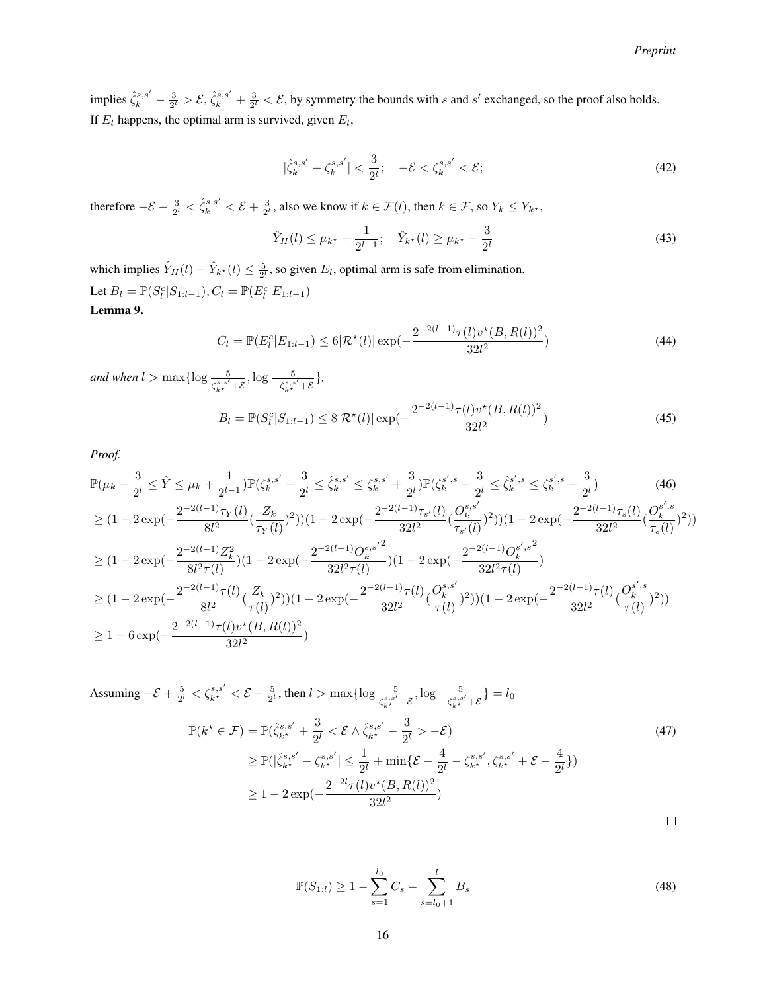implies  $\hat{\zeta}_k^{s,s'} - \frac{3}{2^l} > \mathcal{E}, \hat{\zeta}_k^{s,s'} + \frac{3}{2^l} < \mathcal{E}$ , by symmetry the bounds with s and s' exchanged, so the proof also holds. If  $E_l$  happens, the optimal arm is survived, given  $E_l$ ,

$$
|\hat{\zeta}_k^{s,s'} - {\zeta}_k^{s,s'}| < \frac{3}{2^l}; \quad -\mathcal{E} < {\zeta}_k^{s,s'} < \mathcal{E};\tag{42}
$$

therefore  $-\mathcal{E} - \frac{3}{2^l} < \hat{\zeta}_k^{s,s'} < \mathcal{E} + \frac{3}{2^l}$ , also we know if  $k \in \mathcal{F}(l)$ , then  $k \in \mathcal{F}$ , so  $Y_k \le Y_{k^*}$ ,

$$
\hat{Y}_H(l) \le \mu_{k^*} + \frac{1}{2^{l-1}}; \quad \hat{Y}_{k^*}(l) \ge \mu_{k^*} - \frac{3}{2^l}
$$
\n(43)

which implies  $\hat{Y}_H(l) - \hat{Y}_{k^*}(l) \leq \frac{5}{2^l}$ , so given  $E_l$ , optimal arm is safe from elimination. Let  $B_l = \mathbb{P}(S_l^c | S_{1:l-1}), C_l = \mathbb{P}(E_l^c | E_{1:l-1})$ Lemma 9.

$$
C_l = \mathbb{P}(E_l^c | E_{1:l-1}) \le 6|\mathcal{R}^*(l)| \exp(-\frac{2^{-2(l-1)}\tau(l)v^*(B, R(l))^2}{32l^2})
$$
\n(44)

*and when*  $l > \max\{\log \frac{5}{\zeta_{k^*}^{s,s'} + \mathcal{E}}, \log \frac{5}{-\zeta_{k^*}^{s,s'} + \mathcal{E}}\},\$ 

$$
B_l = \mathbb{P}(S_l^c | S_{1:l-1}) \le 8|\mathcal{R}^{\star}(l)| \exp(-\frac{2^{-2(l-1)}\tau(l)v^{\star}(B, R(l))^2}{32l^2})
$$
\n(45)

*Proof.*

$$
\mathbb{P}(\mu_{k} - \frac{3}{2^{l}} \leq \hat{Y} \leq \mu_{k} + \frac{1}{2^{l-1}}) \mathbb{P}(\zeta_{k}^{s,s'} - \frac{3}{2^{l}} \leq \hat{\zeta}_{k}^{s,s'} \leq \zeta_{k}^{s,s'} + \frac{3}{2^{l}}) \mathbb{P}(\zeta_{k}^{s',s} - \frac{3}{2^{l}} \leq \hat{\zeta}_{k}^{s',s} \leq \zeta_{k}^{s',s} + \frac{3}{2^{l}}) \tag{46}
$$
\n
$$
\geq (1 - 2\exp(-\frac{2^{-2(l-1)}\tau_{Y}(l)}{8l^{2}}(\frac{Z_{k}}{\tau_{Y}(l)})^{2}))(1 - 2\exp(-\frac{2^{-2(l-1)}\tau_{s'}(l)}{32l^{2}}(\frac{O_{k}^{s,s'}}{\tau_{s'}(l)})^{2}))(1 - 2\exp(-\frac{2^{-2(l-1)}\tau_{s}(l)}{32l^{2}}(\frac{O_{k}^{s,s'}}{\tau_{s}(l)})^{2}))
$$
\n
$$
\geq (1 - 2\exp(-\frac{2^{-2(l-1)}Z_{k}^{2}}{8l^{2}\tau(l)})(1 - 2\exp(-\frac{2^{-2(l-1)}O_{k}^{s,s'}^{2}}{32l^{2}\tau(l)})(1 - 2\exp(-\frac{2^{-2(l-1)}O_{k}^{s',s}}{32l^{2}\tau(l)})
$$
\n
$$
\geq (1 - 2\exp(-\frac{2^{-2(l-1)}\tau(l)}{8l^{2}}(\frac{Z_{k}}{\tau(l)})^{2}))(1 - 2\exp(-\frac{2^{-2(l-1)}\tau(l)}{32l^{2}}(\frac{O_{k}^{s,s'}}{\tau(l)})^{2}))(1 - 2\exp(-\frac{2^{-2(l-1)}\tau(l)}{32l^{2}}(\frac{O_{k}^{s',s}}{\tau(l)})^{2}))
$$
\n
$$
\geq 1 - 6\exp(-\frac{2^{-2(l-1)}\tau(l)v^{*}(B,R(l))^{2}}{32l^{2}})
$$

Assuming 
$$
-\mathcal{E} + \frac{5}{2^l} < \zeta_{k^*}^{s,s'} < \mathcal{E} - \frac{5}{2^l}
$$
, then  $l > \max\{\log \frac{5}{\zeta_{k^*}^{s,s'} + \mathcal{E}}, \log \frac{5}{-\zeta_{k^*}^{s,s'} + \mathcal{E}}\} = l_0$   

$$
\mathbb{P}(k^* \in \mathcal{F}) = \mathbb{P}(\hat{\zeta}_{k^*}^{s,s'} + \frac{3}{2^l} < \mathcal{E} \wedge \hat{\zeta}_{k^*}^{s,s'} - \frac{3}{2^l} > -\mathcal{E})
$$

$$
\geq \mathbb{P}(|\hat{\zeta}_{k^*}^{s,s'} - \zeta_{k^*}^{s,s'}| \leq \frac{1}{2^l} + \min\{\mathcal{E} - \frac{4}{2^l} - \zeta_{k^*}^{s,s'}, \zeta_{k^*}^{s,s'} + \mathcal{E} - \frac{4}{2^l}\})
$$

$$
\geq 1 - 2\exp(-\frac{2^{-2l}\tau(l)v^*(B, R(l))^2}{32l^2})
$$
(47)

 $\Box$ 

$$
\mathbb{P}(S_{1:l}) \ge 1 - \sum_{s=1}^{l_0} C_s - \sum_{s=l_0+1}^{l} B_s \tag{48}
$$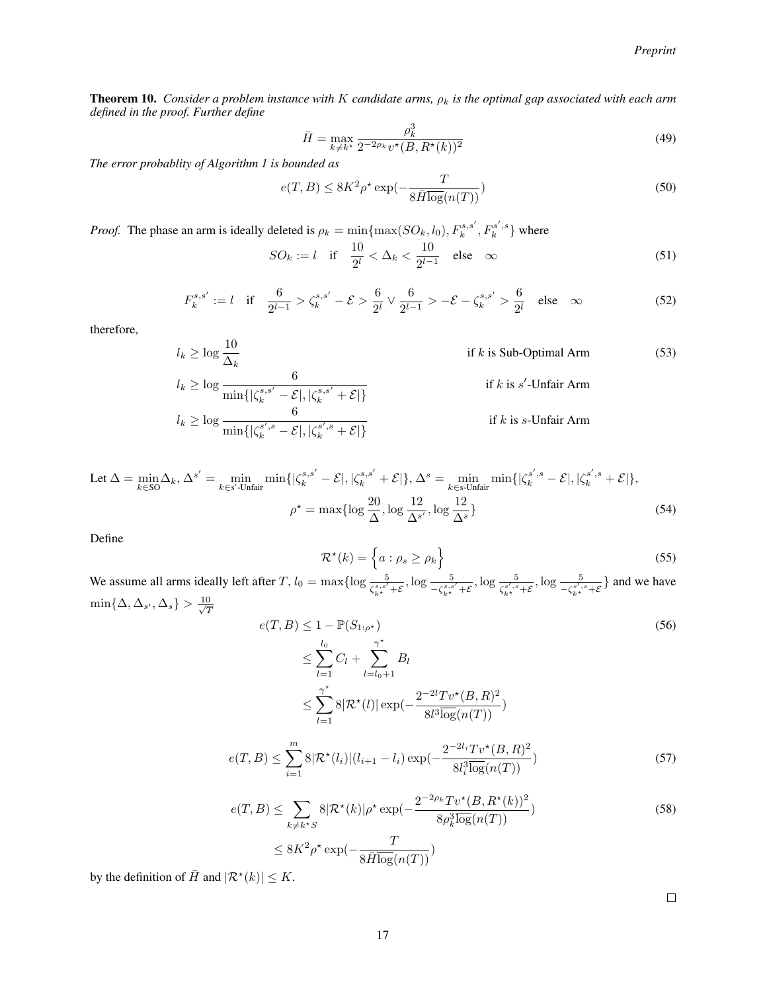**Theorem 10.** *Consider a problem instance with* K *candidate arms,*  $\rho_k$  *is the optimal gap associated with each arm defined in the proof. Further define*

$$
\bar{H} = \max_{k \neq k^*} \frac{\rho_k^3}{2^{-2\rho_k} v^\star (B, R^\star(k))^2}
$$
(49)

*The error probablity of Algorithm 1 is bounded as*

$$
e(T, B) \le 8K^2 \rho^* \exp(-\frac{T}{8\bar{H}\log(n(T))})
$$
\n(50)

*Proof.* The phase an arm is ideally deleted is  $\rho_k = \min\{\max(SO_k, l_0), F_k^{s,s'}, F_k^{s',s}\}\$  where

 $SO_k := l \text{ if } \frac{10}{2^l} < \Delta_k < \frac{10}{2^{l-1}}$  $\frac{10}{2^{l-1}}$  else ∞ (51)

$$
F_k^{s,s'} := l \quad \text{if} \quad \frac{6}{2^{l-1}} > \zeta_k^{s,s'} - \mathcal{E} > \frac{6}{2^l} \vee \frac{6}{2^{l-1}} > -\mathcal{E} - \zeta_k^{s,s'} > \frac{6}{2^l} \quad \text{else} \quad \infty \tag{52}
$$

therefore,

$$
l_k \ge \log \frac{10}{\Delta_k} \qquad \text{if } k \text{ is Sub-Optimal Arm} \tag{53}
$$
\n
$$
l_k \ge \log \frac{6}{\min\{|\zeta_k^{s,s'} - \mathcal{E}|, |\zeta_k^{s,s'} + \mathcal{E}|\}}
$$
\n
$$
l_k \ge \log \frac{6}{\min\{|\zeta_k^{s',s} - \mathcal{E}|, |\zeta_k^{s',s} + \mathcal{E}|\}}
$$
\nif  $k \text{ is } s'$ -Unfair Arm\nif  $k \text{ is } s$ -Unfair Arm

$$
\text{Let } \Delta = \min_{k \in \text{SO}} \Delta_k, \Delta^{s'} = \min_{k \in \text{s'}-\text{Unfair}} \min \{ |\zeta_k^{s,s'} - \mathcal{E}|, |\zeta_k^{s,s'} + \mathcal{E}| \}, \Delta^s = \min_{k \in \text{s·Unfair}} \min \{ |\zeta_k^{s',s} - \mathcal{E}|, |\zeta_k^{s',s} + \mathcal{E}| \},
$$
\n
$$
\rho^* = \max \{ \log \frac{20}{\Delta}, \log \frac{12}{\Delta^{s'}}, \log \frac{12}{\Delta^{s}} \}
$$
\n
$$
(54)
$$

Define

$$
\mathcal{R}^*(k) = \left\{ a : \rho_s \ge \rho_k \right\} \tag{55}
$$

We assume all arms ideally left after T,  $l_0 = \max\{\log \frac{5}{\zeta_{k^*}^{s,s'} + \mathcal{E}}, \log \frac{5}{-\zeta_{k^*}^{s,s'} + \mathcal{E}}, \log \frac{5}{\zeta_{k^*}^{s',s} + \mathcal{E}}, \log \frac{5}{-\zeta_{k^*}^{s',s} + \mathcal{E}}\}$  and we have  $\min\{\Delta, \Delta_{s'}, \Delta_s\} > \frac{10}{\sqrt{7}}$ T

$$
e(T, B) \le 1 - \mathbb{P}(S_{1:\rho^*})
$$
  
\n
$$
\le \sum_{l=1}^{l_0} C_l + \sum_{l=l_0+1}^{\gamma^*} B_l
$$
  
\n
$$
\le \sum_{l=1}^{\gamma^*} 8|\mathcal{R}^*(l)| \exp(-\frac{2^{-2l}Tv^*(B, R)^2}{8l^3\overline{\log}(n(T))})
$$
\n(56)

$$
e(T, B) \le \sum_{i=1}^{m} 8|\mathcal{R}^*(l_i)|(l_{i+1} - l_i) \exp(-\frac{2^{-2l_i}Tv^*(B, R)^2}{8l_i^3 \log(n(T))})
$$
\n(57)

$$
e(T, B) \le \sum_{k \ne k^*S} 8|\mathcal{R}^*(k)|\rho^* \exp(-\frac{2^{-2\rho_k}Tv^*(B, R^*(k))^2}{8\rho_k^3 \overline{\log}(n(T))})
$$
\n
$$
\le 8K^2\rho^* \exp(-\frac{T}{8\bar{H}\overline{\log}(n(T))})
$$
\n(58)

by the definition of  $\overline{H}$  and  $|\mathcal{R}^{\star}(k)| \leq K$ .

 $\Box$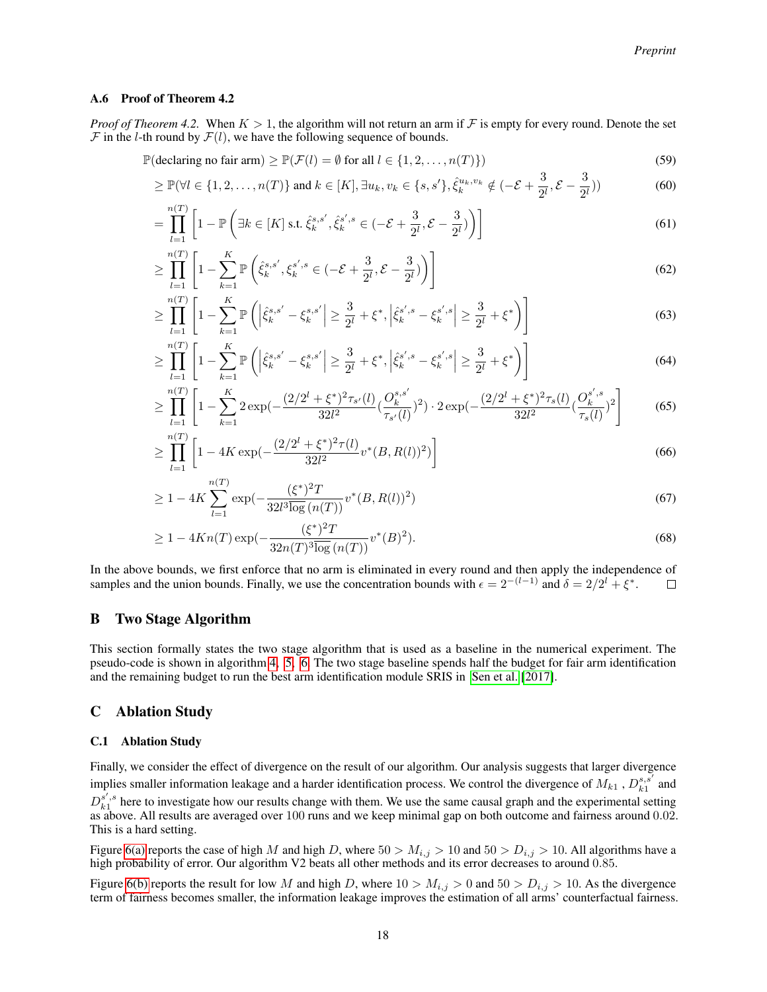#### A.6 Proof of Theorem 4.2

*Proof of Theorem 4.2.* When  $K > 1$ , the algorithm will not return an arm if F is empty for every round. Denote the set  $\mathcal F$  in the *l*-th round by  $\mathcal F(l)$ , we have the following sequence of bounds.

 $\mathbb{P}(\text{declaring no fair arm}) \geq \mathbb{P}(\mathcal{F}(l) = \emptyset \text{ for all } l \in \{1, 2, ..., n(T)\})$  (59)

$$
\geq \mathbb{P}(\forall l \in \{1, 2, ..., n(T)\} \text{ and } k \in [K], \exists u_k, v_k \in \{s, s'\}, \hat{\xi}_k^{u_k, v_k} \notin (-\mathcal{E} + \frac{3}{2^l}, \mathcal{E} - \frac{3}{2^l}))
$$
(60)

$$
= \prod_{l=1}^{n(T)} \left[ 1 - \mathbb{P}\left( \exists k \in [K] \text{ s.t. } \hat{\xi}_k^{s,s'}, \hat{\xi}_k^{s',s} \in (-\mathcal{E} + \frac{3}{2^l}, \mathcal{E} - \frac{3}{2^l}) \right) \right]
$$
(61)

$$
\geq \prod_{l=1}^{n(T)} \left[ 1 - \sum_{k=1}^{K} \mathbb{P}\left( \hat{\xi}_{k}^{s,s'}, \xi_{k}^{s',s} \in (-\mathcal{E} + \frac{3}{2^{l}}, \mathcal{E} - \frac{3}{2^{l}}) \right) \right]
$$
(62)

$$
\geq \prod_{l=1}^{n(T)} \left[ 1 - \sum_{k=1}^{K} \mathbb{P} \left( \left| \hat{\xi}_{k}^{s,s'} - \xi_{k}^{s,s'} \right| \geq \frac{3}{2^{l}} + \xi^{*}, \left| \hat{\xi}_{k}^{s',s} - \xi_{k}^{s',s} \right| \geq \frac{3}{2^{l}} + \xi^{*} \right) \right]
$$
(63)

$$
\geq \prod_{l=1}^{n(T)} \left[ 1 - \sum_{k=1}^{K} \mathbb{P}\left( \left| \hat{\xi}_{k}^{s,s'} - \xi_{k}^{s,s'} \right| \geq \frac{3}{2^l} + \xi^*, \left| \hat{\xi}_{k}^{s',s} - \xi_{k}^{s',s} \right| \geq \frac{3}{2^l} + \xi^* \right) \right]
$$
(64)

$$
\geq \prod_{l=1}^{n(T)} \left[ 1 - \sum_{k=1}^{K} 2 \exp\left(-\frac{(2/2^l + \xi^*)^2 \tau_{s'}(l)}{32l^2} \left(\frac{O_k^{s,s'}}{\tau_{s'}(l)}\right)^2\right) \cdot 2 \exp\left(-\frac{(2/2^l + \xi^*)^2 \tau_s(l)}{32l^2} \left(\frac{O_k^{s',s}}{\tau_s(l)}\right)^2\right] \right] \tag{65}
$$

$$
\geq \prod_{l=1}^{n(T)} \left[ 1 - 4K \exp\left(-\frac{(2/2^l + \xi^*)^2 \tau(l)}{32l^2} v^*(B, R(l))^2\right) \right]
$$
\n(66)

$$
\geq 1 - 4K \sum_{l=1}^{n(T)} \exp\left(-\frac{(\xi^*)^2 T}{32l^3 \overline{\log}(n(T))} v^*(B, R(l))^2\right) \tag{67}
$$

$$
\geq 1 - 4Kn(T) \exp(-\frac{(\xi^*)^2 T}{32n(T)^3 \overline{\log}(n(T))} v^*(B)^2). \tag{68}
$$

In the above bounds, we first enforce that no arm is eliminated in every round and then apply the independence of samples and the union bounds. Finally, we use the concentration bounds with  $\epsilon = 2^{-(l-1)}$  and  $\delta = 2/2^l + \xi^*$ .  $\Box$ 

## B Two Stage Algorithm

This section formally states the two stage algorithm that is used as a baseline in the numerical experiment. The pseudo-code is shown in algorithm [4,](#page-18-0) [5,](#page-18-1) [6.](#page-18-2) The two stage baseline spends half the budget for fair arm identification and the remaining budget to run the best arm identification module SRIS in [Sen et al.](#page-10-1) [\[2017\]](#page-10-1).

## C Ablation Study

#### C.1 Ablation Study

Finally, we consider the effect of divergence on the result of our algorithm. Our analysis suggests that larger divergence implies smaller information leakage and a harder identification process. We control the divergence of  $M_{k1}$ ,  $D_{k1}^{s,s'}$  and  $D_{k1}^{s',s}$  here to investigate how our results change with them. We use the same causal graph and the experimental setting as above. All results are averaged over 100 runs and we keep minimal gap on both outcome and fairness around 0.02. This is a hard setting.

Figure [6\(a\)](#page-18-3) reports the case of high M and high D, where  $50 > M_{i,j} > 10$  and  $50 > D_{i,j} > 10$ . All algorithms have a high probability of error. Our algorithm V2 beats all other methods and its error decreases to around 0.85.

Figure [6\(b\)](#page-18-4) reports the result for low M and high D, where  $10 > M_{i,j} > 0$  and  $50 > D_{i,j} > 10$ . As the divergence term of fairness becomes smaller, the information leakage improves the estimation of all arms' counterfactual fairness.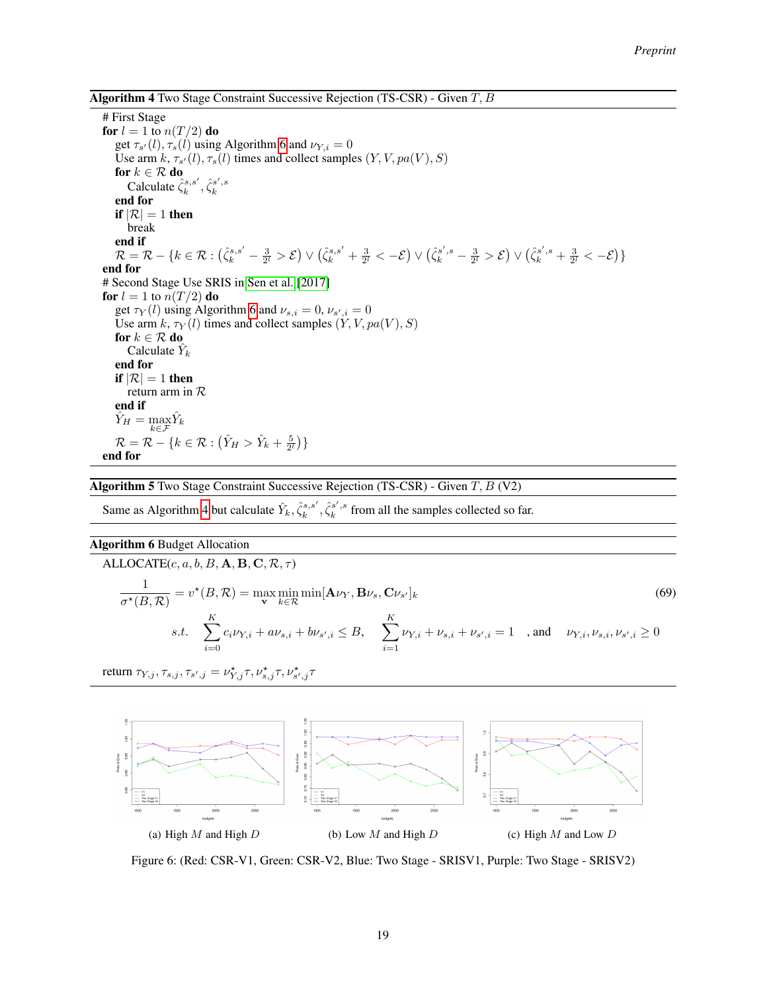<span id="page-18-0"></span>**Algorithm 4** Two Stage Constraint Successive Rejection (TS-CSR) - Given  $T, B$ 

# First Stage for  $l = 1$  to  $n(T/2)$  do get  $\tau_{s'}(l), \tau_s(l)$  using Algorithm [6](#page-18-2) and  $\nu_{Y,i} = 0$ Use arm  $k$ ,  $\tau_{s'}(l)$ ,  $\tau_s(l)$  times and collect samples  $(Y, V, pa(V), S)$ for  $k \in \mathcal{R}$  do Calculate  $\hat{\zeta}_k^{s,s'}, \hat{\zeta}_k^{s',s}$ end for if  $|\mathcal{R}| = 1$  then break end if  $\mathcal{R} = \mathcal{R} - \{k \in \mathcal{R}: (\hat{\zeta}_k^{s,s'} - \frac{3}{2^l} > \mathcal{E}) \vee (\hat{\zeta}_k^{s,s'} + \frac{3}{2^l} < -\mathcal{E}) \vee (\hat{\zeta}_k^{s',s} - \frac{3}{2^l} > \mathcal{E}) \vee (\hat{\zeta}_k^{s',s} + \frac{3}{2^l} < -\mathcal{E})\}$ end for # Second Stage Use SRIS in [Sen et al.](#page-10-1) [\[2017\]](#page-10-1) for  $l = 1$  to  $n(T/2)$  do get  $\tau_Y(l)$  using Algorithm [6](#page-18-2) and  $\nu_{s,i} = 0$ ,  $\nu_{s',i} = 0$ Use arm  $k$ ,  $\tau_Y(l)$  times and collect samples  $(Y, V, pa(V), S)$ for  $k \in \mathcal{R}$  do Calculate  $\hat{Y}_k$ end for if  $|\mathcal{R}| = 1$  then return arm in R end if  $\hat{Y}_H = \max_{k \in \mathcal{F}} \hat{Y}_k$  $\mathcal{R} = \mathcal{R} - \{k \in \mathcal{R} : (\hat{Y}_H > \hat{Y}_k + \frac{5}{2^l})\}$ end for

<span id="page-18-1"></span>**Algorithm 5** Two Stage Constraint Successive Rejection (TS-CSR) - Given  $T$ ,  $B$  (V2)

Same as Algorithm [4](#page-18-0) but calculate  $\hat{Y}_k, \hat{\zeta}_k^{s',s'}, \hat{\zeta}_k^{s',s}$  from all the samples collected so far.

#### <span id="page-18-2"></span>Algorithm 6 Budget Allocation

ALLOCATE $(c, a, b, B, A, B, C, R, \tau)$ 1  $\frac{1}{\sigma^\star(B,\mathcal{R})} = v^\star(B,\mathcal{R}) = \max_{\mathbf{v}} \min_{k \in \mathcal{R}} \min[\mathbf{A} \nu_Y,\mathbf{B} \nu_s,\mathbf{C} \nu_s]$  $(v_k \mid k)$  (69) s.t.  $\sum_{i=1}^{K}$  $i=0$  $c_i \nu_{Y,i} + a \nu_{s,i} + b \nu_{s',i} \leq B, \quad \sum_{i=1}^K$  $i=1$  $\nu_{Y,i} + \nu_{s,i} + \nu_{s',i} = 1$ , and  $\nu_{Y,i}, \nu_{s,i}, \nu_{s',i} \ge 0$ 

return  $\tau_{Y,j}, \tau_{s,j}, \tau_{s',j} = \nu_{Y,j}^{\star} \tau, \nu_{s,j}^{\star} \tau, \nu_{s',j}^{\star} \tau$ 

<span id="page-18-3"></span>

<span id="page-18-4"></span>Figure 6: (Red: CSR-V1, Green: CSR-V2, Blue: Two Stage - SRISV1, Purple: Two Stage - SRISV2)